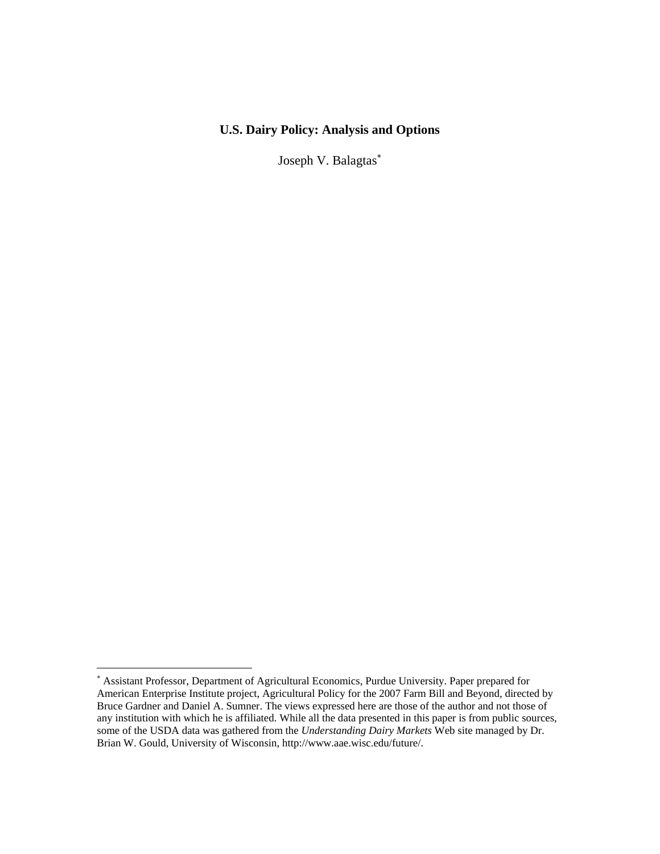## **U.S. Dairy Policy: Analysis and Options**

Joseph V. Balagtas<sup>\*</sup>

<span id="page-0-0"></span><sup>∗</sup> Assistant Professor, Department of Agricultural Economics, Purdue University. Paper prepared for American Enterprise Institute project, Agricultural Policy for the 2007 Farm Bill and Beyond, directed by Bruce Gardner and Daniel A. Sumner. The views expressed here are those of the author and not those of any institution with which he is affiliated. While all the data presented in this paper is from public sources, some of the USDA data was gathered from the *Understanding Dairy Markets* Web site managed by Dr. Brian W. Gould, University of Wisconsin, http://www.aae.wisc.edu/future/.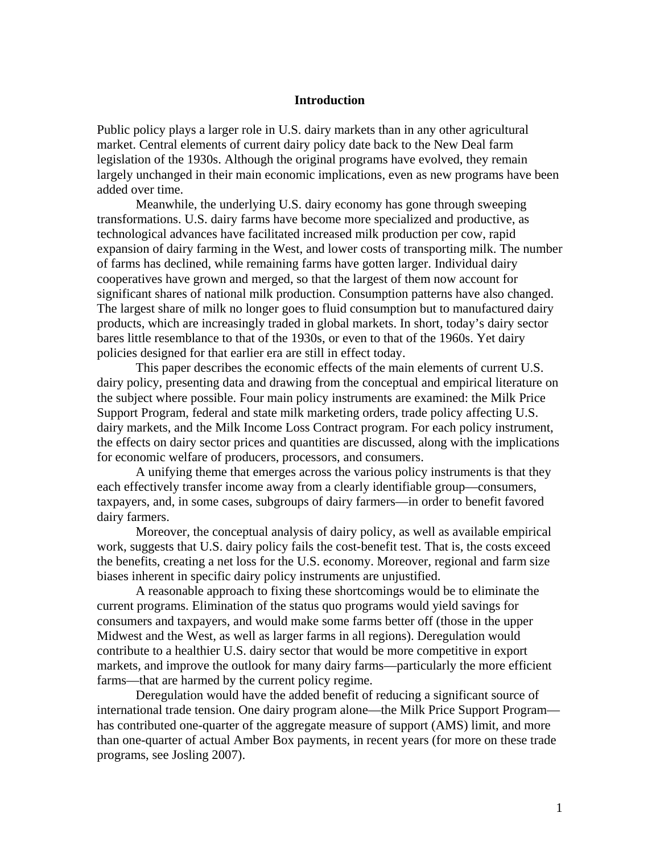#### **Introduction**

Public policy plays a larger role in U.S. dairy markets than in any other agricultural market. Central elements of current dairy policy date back to the New Deal farm legislation of the 1930s. Although the original programs have evolved, they remain largely unchanged in their main economic implications, even as new programs have been added over time.

Meanwhile, the underlying U.S. dairy economy has gone through sweeping transformations. U.S. dairy farms have become more specialized and productive, as technological advances have facilitated increased milk production per cow, rapid expansion of dairy farming in the West, and lower costs of transporting milk. The number of farms has declined, while remaining farms have gotten larger. Individual dairy cooperatives have grown and merged, so that the largest of them now account for significant shares of national milk production. Consumption patterns have also changed. The largest share of milk no longer goes to fluid consumption but to manufactured dairy products, which are increasingly traded in global markets. In short, today's dairy sector bares little resemblance to that of the 1930s, or even to that of the 1960s. Yet dairy policies designed for that earlier era are still in effect today.

This paper describes the economic effects of the main elements of current U.S. dairy policy, presenting data and drawing from the conceptual and empirical literature on the subject where possible. Four main policy instruments are examined: the Milk Price Support Program, federal and state milk marketing orders, trade policy affecting U.S. dairy markets, and the Milk Income Loss Contract program. For each policy instrument, the effects on dairy sector prices and quantities are discussed, along with the implications for economic welfare of producers, processors, and consumers.

A unifying theme that emerges across the various policy instruments is that they each effectively transfer income away from a clearly identifiable group—consumers, taxpayers, and, in some cases, subgroups of dairy farmers—in order to benefit favored dairy farmers.

Moreover, the conceptual analysis of dairy policy, as well as available empirical work, suggests that U.S. dairy policy fails the cost-benefit test. That is, the costs exceed the benefits, creating a net loss for the U.S. economy. Moreover, regional and farm size biases inherent in specific dairy policy instruments are unjustified.

A reasonable approach to fixing these shortcomings would be to eliminate the current programs. Elimination of the status quo programs would yield savings for consumers and taxpayers, and would make some farms better off (those in the upper Midwest and the West, as well as larger farms in all regions). Deregulation would contribute to a healthier U.S. dairy sector that would be more competitive in export markets, and improve the outlook for many dairy farms—particularly the more efficient farms—that are harmed by the current policy regime.

Deregulation would have the added benefit of reducing a significant source of international trade tension. One dairy program alone—the Milk Price Support Program has contributed one-quarter of the aggregate measure of support (AMS) limit, and more than one-quarter of actual Amber Box payments, in recent years (for more on these trade programs, see Josling 2007).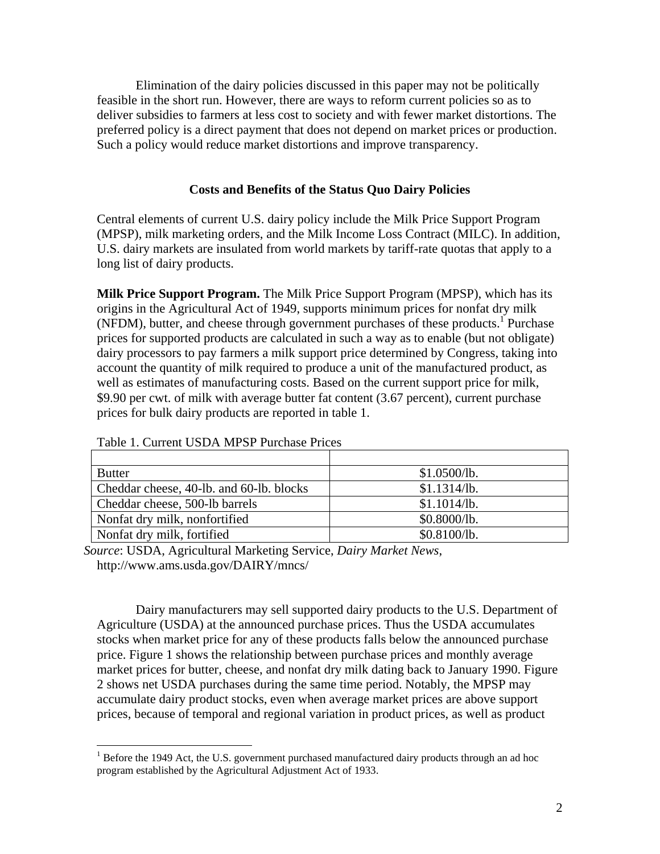Elimination of the dairy policies discussed in this paper may not be politically feasible in the short run. However, there are ways to reform current policies so as to deliver subsidies to farmers at less cost to society and with fewer market distortions. The preferred policy is a direct payment that does not depend on market prices or production. Such a policy would reduce market distortions and improve transparency.

## **Costs and Benefits of the Status Quo Dairy Policies**

Central elements of current U.S. dairy policy include the Milk Price Support Program (MPSP), milk marketing orders, and the Milk Income Loss Contract (MILC). In addition, U.S. dairy markets are insulated from world markets by tariff-rate quotas that apply to a long list of dairy products.

**Milk Price Support Program.** The Milk Price Support Program (MPSP), which has its origins in the Agricultural Act of 1949, supports minimum prices for nonfat dry milk (NFDM), butter, and cheese through government purchases of these products.<sup>[1](#page-2-0)</sup> Purchase prices for supported products are calculated in such a way as to enable (but not obligate) dairy processors to pay farmers a milk support price determined by Congress, taking into account the quantity of milk required to produce a unit of the manufactured product, as well as estimates of manufacturing costs. Based on the current support price for milk, \$9.90 per cwt. of milk with average butter fat content (3.67 percent), current purchase prices for bulk dairy products are reported in table 1.

| <b>Butter</b>                            | \$1.0500/b.  |
|------------------------------------------|--------------|
| Cheddar cheese, 40-lb. and 60-lb. blocks | \$1.1314/lb. |
| Cheddar cheese, 500-lb barrels           | \$1.1014/lb. |
| Nonfat dry milk, nonfortified            | \$0.8000/b.  |
| Nonfat dry milk, fortified               | \$0.8100/b.  |

| Table 1. Current USDA MPSP Purchase Prices |  |  |  |  |  |  |
|--------------------------------------------|--|--|--|--|--|--|
|--------------------------------------------|--|--|--|--|--|--|

 $\overline{a}$ 

*Source*: USDA, Agricultural Marketing Service, *Dairy Market News*, http://www.ams.usda.gov/DAIRY/mncs/

Dairy manufacturers may sell supported dairy products to the U.S. Department of Agriculture (USDA) at the announced purchase prices. Thus the USDA accumulates stocks when market price for any of these products falls below the announced purchase price. Figure 1 shows the relationship between purchase prices and monthly average market prices for butter, cheese, and nonfat dry milk dating back to January 1990. Figure 2 shows net USDA purchases during the same time period. Notably, the MPSP may accumulate dairy product stocks, even when average market prices are above support prices, because of temporal and regional variation in product prices, as well as product

<span id="page-2-0"></span> $1$  Before the 1949 Act, the U.S. government purchased manufactured dairy products through an ad hoc program established by the Agricultural Adjustment Act of 1933.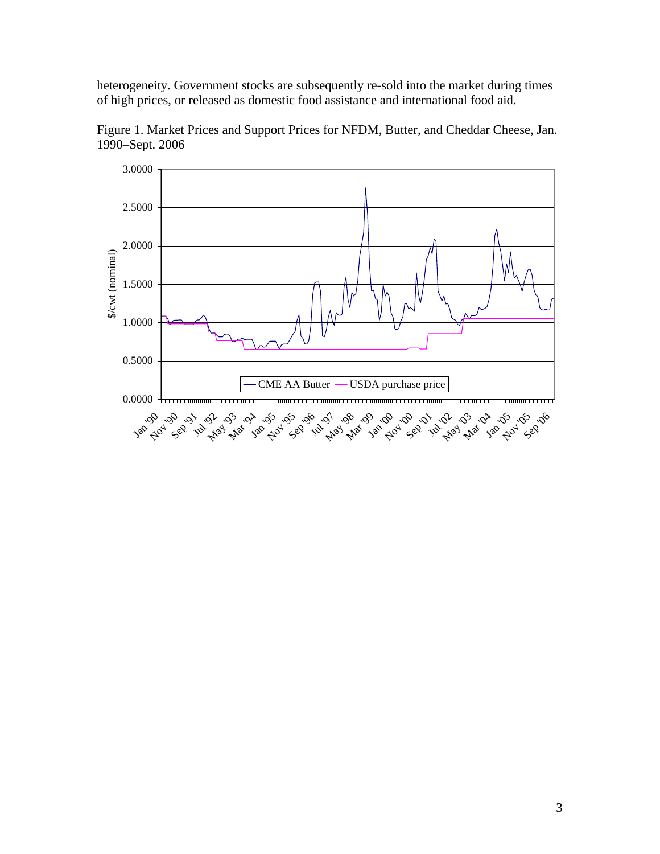heterogeneity. Government stocks are subsequently re-sold into the market during times of high prices, or released as domestic food assistance and international food aid.



Figure 1. Market Prices and Support Prices for NFDM, Butter, and Cheddar Cheese, Jan. 1990–Sept. 2006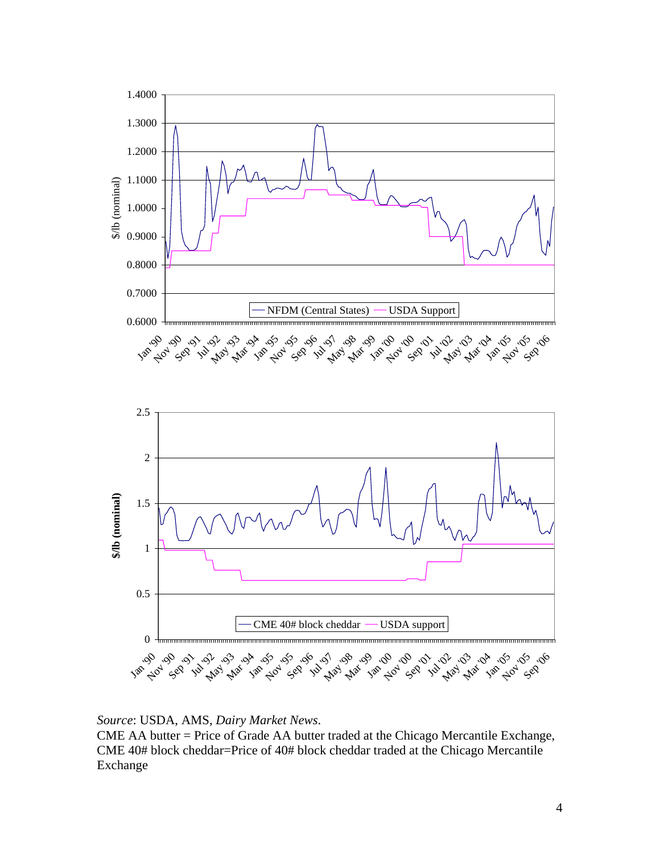



## *Source*: USDA, AMS, *Dairy Market News*.

CME AA butter = Price of Grade AA butter traded at the Chicago Mercantile Exchange, CME 40# block cheddar=Price of 40# block cheddar traded at the Chicago Mercantile Exchange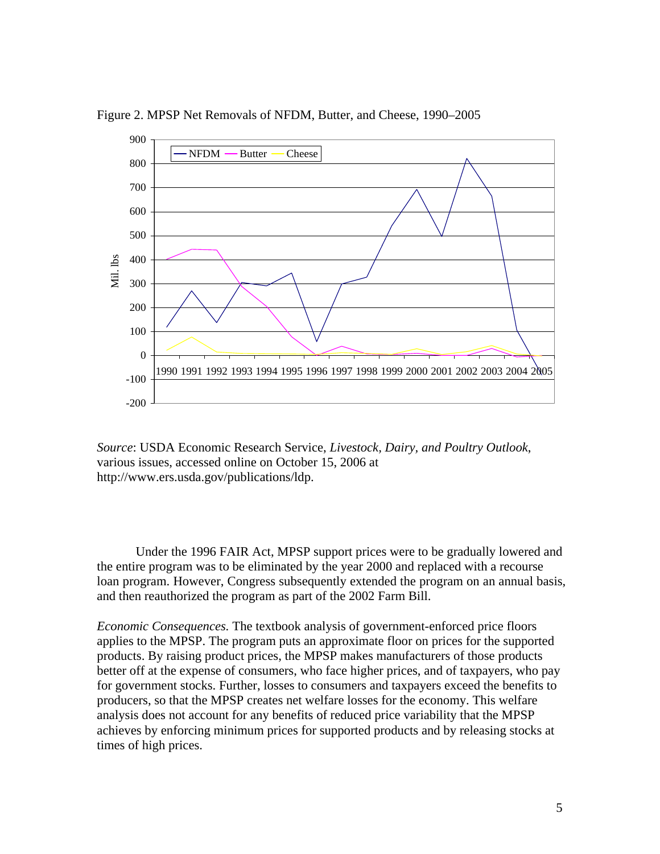

Figure 2. MPSP Net Removals of NFDM, Butter, and Cheese, 1990–2005

*Source*: USDA Economic Research Service, *Livestock, Dairy, and Poultry Outlook*, various issues, accessed online on October 15, 2006 at http://www.ers.usda.gov/publications/ldp.

Under the 1996 FAIR Act, MPSP support prices were to be gradually lowered and the entire program was to be eliminated by the year 2000 and replaced with a recourse loan program. However, Congress subsequently extended the program on an annual basis, and then reauthorized the program as part of the 2002 Farm Bill.

*Economic Consequences.* The textbook analysis of government-enforced price floors applies to the MPSP. The program puts an approximate floor on prices for the supported products. By raising product prices, the MPSP makes manufacturers of those products better off at the expense of consumers, who face higher prices, and of taxpayers, who pay for government stocks. Further, losses to consumers and taxpayers exceed the benefits to producers, so that the MPSP creates net welfare losses for the economy. This welfare analysis does not account for any benefits of reduced price variability that the MPSP achieves by enforcing minimum prices for supported products and by releasing stocks at times of high prices.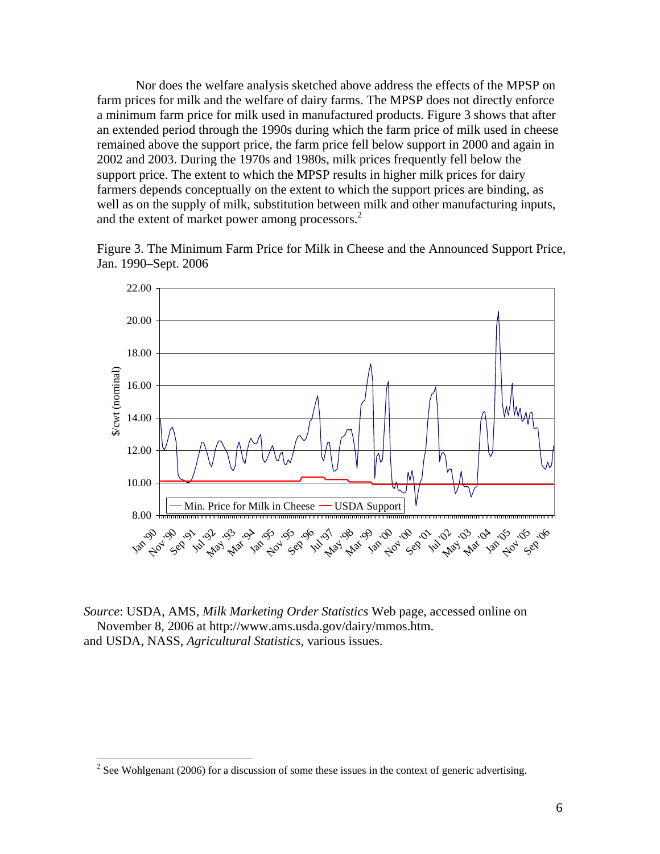Nor does the welfare analysis sketched above address the effects of the MPSP on farm prices for milk and the welfare of dairy farms. The MPSP does not directly enforce a minimum farm price for milk used in manufactured products. Figure 3 shows that after an extended period through the 1990s during which the farm price of milk used in cheese remained above the support price, the farm price fell below support in 2000 and again in 2002 and 2003. During the 1970s and 1980s, milk prices frequently fell below the support price. The extent to which the MPSP results in higher milk prices for dairy farmers depends conceptually on the extent to which the support prices are binding, as well as on the supply of milk, substitution between milk and other manufacturing inputs, and the extent of market power among processors.<sup>[2](#page-6-0)</sup>

Figure 3. The Minimum Farm Price for Milk in Cheese and the Announced Support Price, Jan. 1990–Sept. 2006



*Source*: USDA, AMS, *Milk Marketing Order Statistics* Web page, accessed online on November 8, 2006 at http://www.ams.usda.gov/dairy/mmos.htm. and USDA, NASS, *Agricultural Statistics*, various issues.

<u>.</u>

<span id="page-6-0"></span><sup>&</sup>lt;sup>2</sup> See Wohlgenant (2006) for a discussion of some these issues in the context of generic advertising.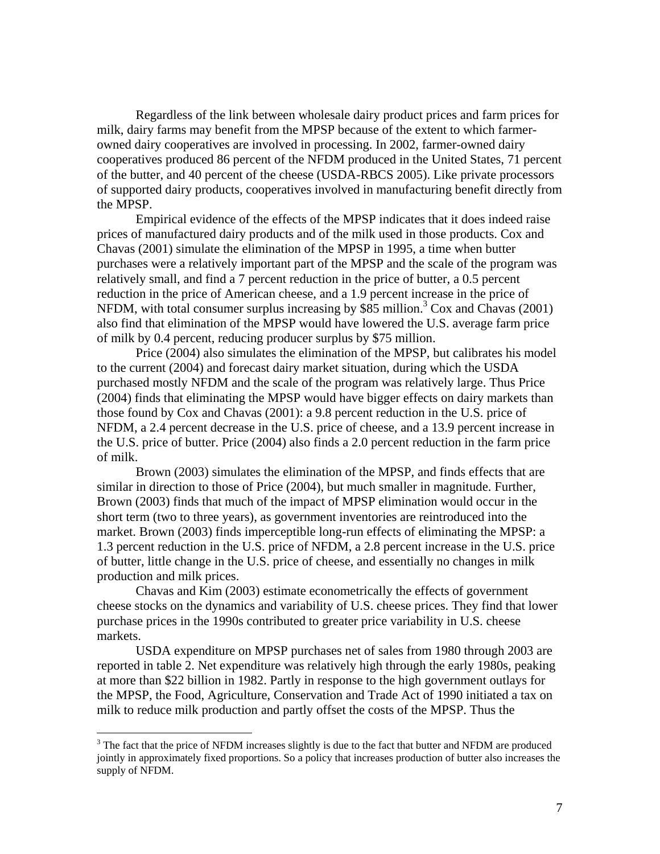Regardless of the link between wholesale dairy product prices and farm prices for milk, dairy farms may benefit from the MPSP because of the extent to which farmerowned dairy cooperatives are involved in processing. In 2002, farmer-owned dairy cooperatives produced 86 percent of the NFDM produced in the United States, 71 percent of the butter, and 40 percent of the cheese (USDA-RBCS 2005). Like private processors of supported dairy products, cooperatives involved in manufacturing benefit directly from the MPSP.

Empirical evidence of the effects of the MPSP indicates that it does indeed raise prices of manufactured dairy products and of the milk used in those products. Cox and Chavas (2001) simulate the elimination of the MPSP in 1995, a time when butter purchases were a relatively important part of the MPSP and the scale of the program was relatively small, and find a 7 percent reduction in the price of butter, a 0.5 percent reduction in the price of American cheese, and a 1.9 percent increase in the price of NFDM, with total consumer surplus increasing by  $$85$  million.<sup>[3](#page-7-0)</sup> Cox and Chavas (2001) also find that elimination of the MPSP would have lowered the U.S. average farm price of milk by 0.4 percent, reducing producer surplus by \$75 million.

Price (2004) also simulates the elimination of the MPSP, but calibrates his model to the current (2004) and forecast dairy market situation, during which the USDA purchased mostly NFDM and the scale of the program was relatively large. Thus Price (2004) finds that eliminating the MPSP would have bigger effects on dairy markets than those found by Cox and Chavas (2001): a 9.8 percent reduction in the U.S. price of NFDM, a 2.4 percent decrease in the U.S. price of cheese, and a 13.9 percent increase in the U.S. price of butter. Price (2004) also finds a 2.0 percent reduction in the farm price of milk.

Brown (2003) simulates the elimination of the MPSP, and finds effects that are similar in direction to those of Price (2004), but much smaller in magnitude. Further, Brown (2003) finds that much of the impact of MPSP elimination would occur in the short term (two to three years), as government inventories are reintroduced into the market. Brown (2003) finds imperceptible long-run effects of eliminating the MPSP: a 1.3 percent reduction in the U.S. price of NFDM, a 2.8 percent increase in the U.S. price of butter, little change in the U.S. price of cheese, and essentially no changes in milk production and milk prices.

Chavas and Kim (2003) estimate econometrically the effects of government cheese stocks on the dynamics and variability of U.S. cheese prices. They find that lower purchase prices in the 1990s contributed to greater price variability in U.S. cheese markets.

USDA expenditure on MPSP purchases net of sales from 1980 through 2003 are reported in table 2. Net expenditure was relatively high through the early 1980s, peaking at more than \$22 billion in 1982. Partly in response to the high government outlays for the MPSP, the Food, Agriculture, Conservation and Trade Act of 1990 initiated a tax on milk to reduce milk production and partly offset the costs of the MPSP. Thus the

<span id="page-7-0"></span> $3$  The fact that the price of NFDM increases slightly is due to the fact that butter and NFDM are produced jointly in approximately fixed proportions. So a policy that increases production of butter also increases the supply of NFDM.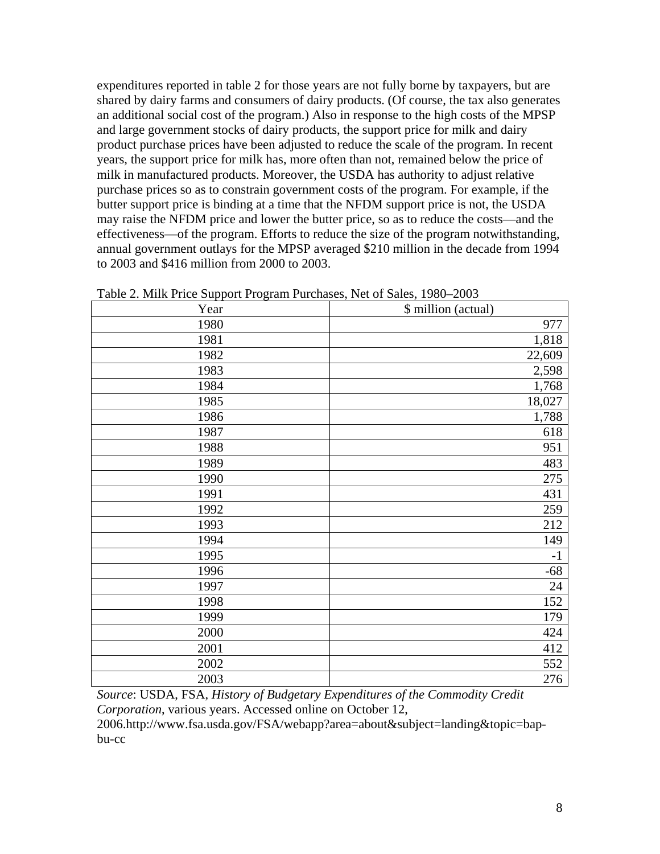expenditures reported in table 2 for those years are not fully borne by taxpayers, but are shared by dairy farms and consumers of dairy products. (Of course, the tax also generates an additional social cost of the program.) Also in response to the high costs of the MPSP and large government stocks of dairy products, the support price for milk and dairy product purchase prices have been adjusted to reduce the scale of the program. In recent years, the support price for milk has, more often than not, remained below the price of milk in manufactured products. Moreover, the USDA has authority to adjust relative purchase prices so as to constrain government costs of the program. For example, if the butter support price is binding at a time that the NFDM support price is not, the USDA may raise the NFDM price and lower the butter price, so as to reduce the costs—and the effectiveness—of the program. Efforts to reduce the size of the program notwithstanding, annual government outlays for the MPSP averaged \$210 million in the decade from 1994 to 2003 and \$416 million from 2000 to 2003.

| Year | \$ million (actual) |
|------|---------------------|
| 1980 | 977                 |
| 1981 | 1,818               |
| 1982 | 22,609              |
| 1983 | 2,598               |
| 1984 | 1,768               |
| 1985 | 18,027              |
| 1986 | 1,788               |
| 1987 | 618                 |
| 1988 | 951                 |
| 1989 | 483                 |
| 1990 | 275                 |
| 1991 | 431                 |
| 1992 | 259                 |
| 1993 | 212                 |
| 1994 | 149                 |
| 1995 | $-1$                |
| 1996 | $-68$               |
| 1997 | 24                  |
| 1998 | 152                 |
| 1999 | 179                 |
| 2000 | 424                 |
| 2001 | 412                 |
| 2002 | 552                 |
| 2003 | 276                 |

Table 2. Milk Price Support Program Purchases, Net of Sales, 1980–2003

*Source*: USDA, FSA, *History of Budgetary Expenditures of the Commodity Credit Corporation*, various years. Accessed online on October 12,

2006.http://www.fsa.usda.gov/FSA/webapp?area=about&subject=landing&topic=bapbu-cc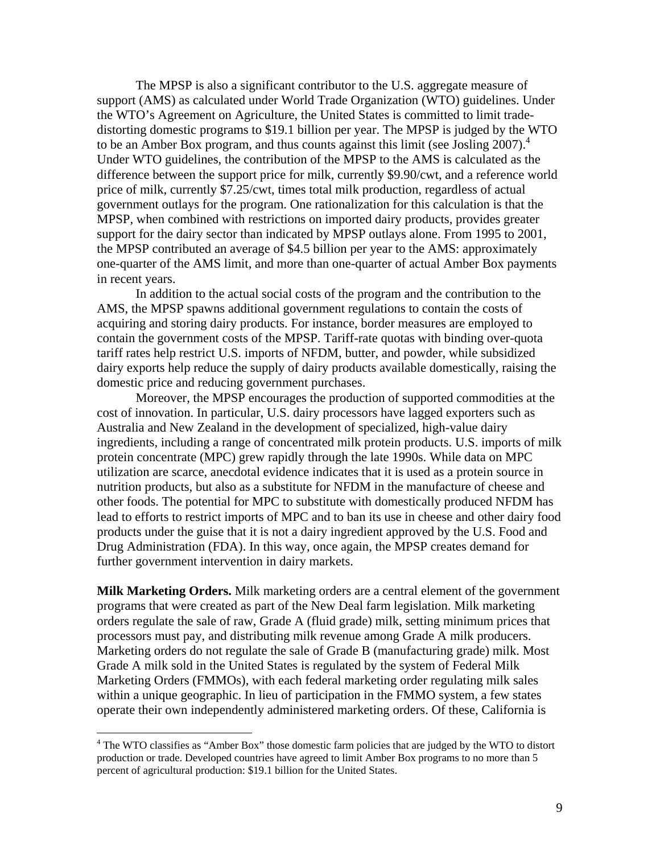The MPSP is also a significant contributor to the U.S. aggregate measure of support (AMS) as calculated under World Trade Organization (WTO) guidelines. Under the WTO's Agreement on Agriculture, the United States is committed to limit tradedistorting domestic programs to \$19.1 billion per year. The MPSP is judged by the WTO to be an Amber Box program, and thus counts against this limit (see Josling 2007).<sup>4</sup> Under WTO guidelines, the contribution of the MPSP to the AMS is calculated as the difference between the support price for milk, currently \$9.90/cwt, and a reference world price of milk, currently \$7.25/cwt, times total milk production, regardless of actual government outlays for the program. One rationalization for this calculation is that the MPSP, when combined with restrictions on imported dairy products, provides greater support for the dairy sector than indicated by MPSP outlays alone. From 1995 to 2001, the MPSP contributed an average of \$4.5 billion per year to the AMS: approximately one-quarter of the AMS limit, and more than one-quarter of actual Amber Box payments in recent years.

In addition to the actual social costs of the program and the contribution to the AMS, the MPSP spawns additional government regulations to contain the costs of acquiring and storing dairy products. For instance, border measures are employed to contain the government costs of the MPSP. Tariff-rate quotas with binding over-quota tariff rates help restrict U.S. imports of NFDM, butter, and powder, while subsidized dairy exports help reduce the supply of dairy products available domestically, raising the domestic price and reducing government purchases.

Moreover, the MPSP encourages the production of supported commodities at the cost of innovation. In particular, U.S. dairy processors have lagged exporters such as Australia and New Zealand in the development of specialized, high-value dairy ingredients, including a range of concentrated milk protein products. U.S. imports of milk protein concentrate (MPC) grew rapidly through the late 1990s. While data on MPC utilization are scarce, anecdotal evidence indicates that it is used as a protein source in nutrition products, but also as a substitute for NFDM in the manufacture of cheese and other foods. The potential for MPC to substitute with domestically produced NFDM has lead to efforts to restrict imports of MPC and to ban its use in cheese and other dairy food products under the guise that it is not a dairy ingredient approved by the U.S. Food and Drug Administration (FDA). In this way, once again, the MPSP creates demand for further government intervention in dairy markets.

**Milk Marketing Orders.** Milk marketing orders are a central element of the government programs that were created as part of the New Deal farm legislation. Milk marketing orders regulate the sale of raw, Grade A (fluid grade) milk, setting minimum prices that processors must pay, and distributing milk revenue among Grade A milk producers. Marketing orders do not regulate the sale of Grade B (manufacturing grade) milk. Most Grade A milk sold in the United States is regulated by the system of Federal Milk Marketing Orders (FMMOs), with each federal marketing order regulating milk sales within a unique geographic. In lieu of participation in the FMMO system, a few states operate their own independently administered marketing orders. Of these, California is

1

<span id="page-9-0"></span><sup>&</sup>lt;sup>4</sup> The WTO classifies as "Amber Box" those domestic farm policies that are judged by the WTO to distort production or trade. Developed countries have agreed to limit Amber Box programs to no more than 5 percent of agricultural production: \$19.1 billion for the United States.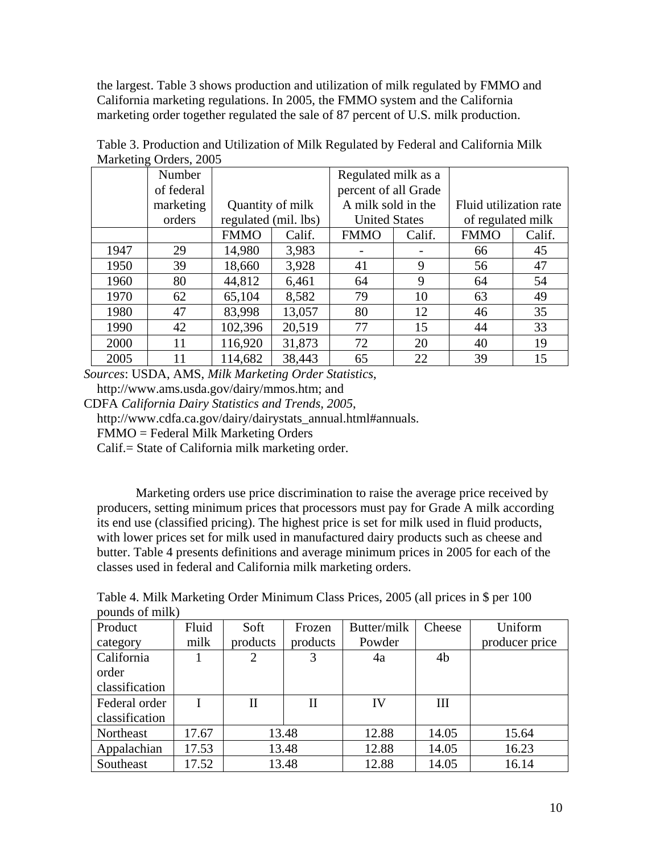the largest. Table 3 shows production and utilization of milk regulated by FMMO and California marketing regulations. In 2005, the FMMO system and the California marketing order together regulated the sale of 87 percent of U.S. milk production.

|      | Number     |             |                      | Regulated milk as a  |        |                        |        |
|------|------------|-------------|----------------------|----------------------|--------|------------------------|--------|
|      | of federal |             |                      | percent of all Grade |        |                        |        |
|      | marketing  |             | Quantity of milk     | A milk sold in the   |        | Fluid utilization rate |        |
|      | orders     |             | regulated (mil. lbs) | <b>United States</b> |        | of regulated milk      |        |
|      |            | <b>FMMO</b> | Calif.               | <b>FMMO</b>          | Calif. | <b>FMMO</b>            | Calif. |
| 1947 | 29         | 14,980      | 3,983                |                      |        | 66                     | 45     |
| 1950 | 39         | 18,660      | 3,928                | 41                   | 9      | 56                     | 47     |
| 1960 | 80         | 44,812      | 6,461                | 64                   | 9      | 64                     | 54     |
| 1970 | 62         | 65,104      | 8,582                | 79                   | 10     | 63                     | 49     |
| 1980 | 47         | 83,998      | 13,057               | 80                   | 12     | 46                     | 35     |
| 1990 | 42         | 102,396     | 20,519               | 77                   | 15     | 44                     | 33     |
| 2000 | 11         | 116,920     | 31,873               | 72                   | 20     | 40                     | 19     |
| 2005 | 11         | 114,682     | 38,443               | 65                   | 22     | 39                     | 15     |

Table 3. Production and Utilization of Milk Regulated by Federal and California Milk Marketing Orders, 2005

*Sources*: USDA, AMS, *Milk Marketing Order Statistics*, http://www.ams.usda.gov/dairy/mmos.htm; and

CDFA *California Dairy Statistics and Trends, 2005*,

http://www.cdfa.ca.gov/dairy/dairystats\_annual.html#annuals.

FMMO = Federal Milk Marketing Orders

Calif.= State of California milk marketing order.

Marketing orders use price discrimination to raise the average price received by producers, setting minimum prices that processors must pay for Grade A milk according its end use (classified pricing). The highest price is set for milk used in fluid products, with lower prices set for milk used in manufactured dairy products such as cheese and butter. Table 4 presents definitions and average minimum prices in 2005 for each of the classes used in federal and California milk marketing orders.

Table 4. Milk Marketing Order Minimum Class Prices, 2005 (all prices in \$ per 100 pounds of milk)

| Product        | Fluid | Soft     | Frozen      | Butter/milk | Cheese         | Uniform        |
|----------------|-------|----------|-------------|-------------|----------------|----------------|
| category       | milk  | products | products    | Powder      |                | producer price |
| California     |       | 2        | 3           | 4a          | 4 <sub>b</sub> |                |
| order          |       |          |             |             |                |                |
| classification |       |          |             |             |                |                |
| Federal order  |       | Н        | $_{\rm II}$ | IV          | III            |                |
| classification |       |          |             |             |                |                |
| Northeast      | 17.67 |          | 13.48       | 12.88       | 14.05          | 15.64          |
| Appalachian    | 17.53 |          | 13.48       | 12.88       | 14.05          | 16.23          |
| Southeast      | 17.52 |          | 13.48       | 12.88       | 14.05          | 16.14          |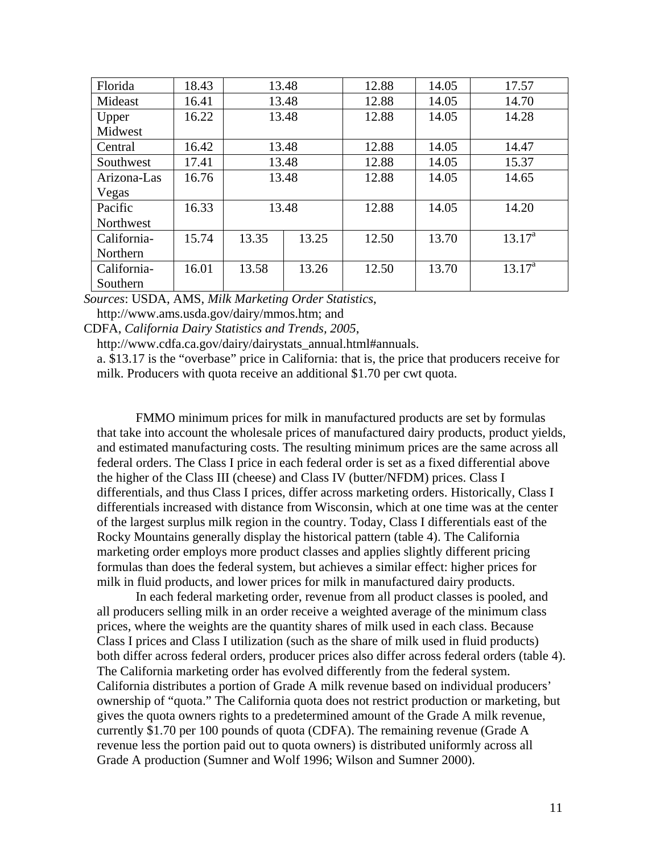| Florida     | 18.43 |       | 13.48 | 12.88 | 14.05 | 17.57           |
|-------------|-------|-------|-------|-------|-------|-----------------|
| Mideast     | 16.41 |       | 13.48 | 12.88 | 14.05 | 14.70           |
| Upper       | 16.22 |       | 13.48 | 12.88 | 14.05 | 14.28           |
| Midwest     |       |       |       |       |       |                 |
| Central     | 16.42 | 13.48 |       | 12.88 | 14.05 | 14.47           |
| Southwest   | 17.41 | 13.48 |       | 12.88 | 14.05 | 15.37           |
| Arizona-Las | 16.76 | 13.48 |       | 12.88 | 14.05 | 14.65           |
| Vegas       |       |       |       |       |       |                 |
| Pacific     | 16.33 | 13.48 |       | 12.88 | 14.05 | 14.20           |
| Northwest   |       |       |       |       |       |                 |
| California- | 15.74 | 13.35 | 13.25 | 12.50 | 13.70 | $13.17^a$       |
| Northern    |       |       |       |       |       |                 |
| California- | 16.01 | 13.58 | 13.26 | 12.50 | 13.70 | $13.17^{\rm a}$ |
| Southern    |       |       |       |       |       |                 |

*Sources*: USDA, AMS, *Milk Marketing Order Statistics*,

http://www.ams.usda.gov/dairy/mmos.htm; and

CDFA, *California Dairy Statistics and Trends, 2005*,

http://www.cdfa.ca.gov/dairy/dairystats\_annual.html#annuals.

a. \$13.17 is the "overbase" price in California: that is, the price that producers receive for milk. Producers with quota receive an additional \$1.70 per cwt quota.

FMMO minimum prices for milk in manufactured products are set by formulas that take into account the wholesale prices of manufactured dairy products, product yields, and estimated manufacturing costs. The resulting minimum prices are the same across all federal orders. The Class I price in each federal order is set as a fixed differential above the higher of the Class III (cheese) and Class IV (butter/NFDM) prices. Class I differentials, and thus Class I prices, differ across marketing orders. Historically, Class I differentials increased with distance from Wisconsin, which at one time was at the center of the largest surplus milk region in the country. Today, Class I differentials east of the Rocky Mountains generally display the historical pattern (table 4). The California marketing order employs more product classes and applies slightly different pricing formulas than does the federal system, but achieves a similar effect: higher prices for milk in fluid products, and lower prices for milk in manufactured dairy products.

In each federal marketing order, revenue from all product classes is pooled, and all producers selling milk in an order receive a weighted average of the minimum class prices, where the weights are the quantity shares of milk used in each class. Because Class I prices and Class I utilization (such as the share of milk used in fluid products) both differ across federal orders, producer prices also differ across federal orders (table 4). The California marketing order has evolved differently from the federal system. California distributes a portion of Grade A milk revenue based on individual producers' ownership of "quota." The California quota does not restrict production or marketing, but gives the quota owners rights to a predetermined amount of the Grade A milk revenue, currently \$1.70 per 100 pounds of quota (CDFA). The remaining revenue (Grade A revenue less the portion paid out to quota owners) is distributed uniformly across all Grade A production (Sumner and Wolf 1996; Wilson and Sumner 2000).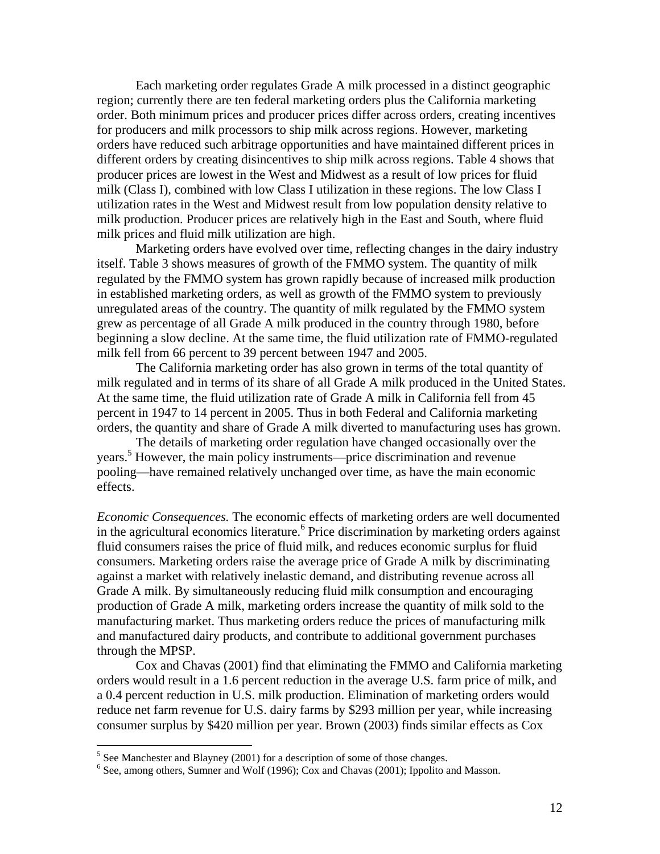Each marketing order regulates Grade A milk processed in a distinct geographic region; currently there are ten federal marketing orders plus the California marketing order. Both minimum prices and producer prices differ across orders, creating incentives for producers and milk processors to ship milk across regions. However, marketing orders have reduced such arbitrage opportunities and have maintained different prices in different orders by creating disincentives to ship milk across regions. Table 4 shows that producer prices are lowest in the West and Midwest as a result of low prices for fluid milk (Class I), combined with low Class I utilization in these regions. The low Class I utilization rates in the West and Midwest result from low population density relative to milk production. Producer prices are relatively high in the East and South, where fluid milk prices and fluid milk utilization are high.

Marketing orders have evolved over time, reflecting changes in the dairy industry itself. Table 3 shows measures of growth of the FMMO system. The quantity of milk regulated by the FMMO system has grown rapidly because of increased milk production in established marketing orders, as well as growth of the FMMO system to previously unregulated areas of the country. The quantity of milk regulated by the FMMO system grew as percentage of all Grade A milk produced in the country through 1980, before beginning a slow decline. At the same time, the fluid utilization rate of FMMO-regulated milk fell from 66 percent to 39 percent between 1947 and 2005.

The California marketing order has also grown in terms of the total quantity of milk regulated and in terms of its share of all Grade A milk produced in the United States. At the same time, the fluid utilization rate of Grade A milk in California fell from 45 percent in 1947 to 14 percent in 2005. Thus in both Federal and California marketing orders, the quantity and share of Grade A milk diverted to manufacturing uses has grown.

The details of marketing order regulation have changed occasionally over the years.[5](#page-12-0) However, the main policy instruments—price discrimination and revenue pooling—have remained relatively unchanged over time, as have the main economic effects.

*Economic Consequences.* The economic effects of marketing orders are well documented in the agricultural economics literature.<sup>6</sup> Price discrimination by marketing orders against fluid consumers raises the price of fluid milk, and reduces economic surplus for fluid consumers. Marketing orders raise the average price of Grade A milk by discriminating against a market with relatively inelastic demand, and distributing revenue across all Grade A milk. By simultaneously reducing fluid milk consumption and encouraging production of Grade A milk, marketing orders increase the quantity of milk sold to the manufacturing market. Thus marketing orders reduce the prices of manufacturing milk and manufactured dairy products, and contribute to additional government purchases through the MPSP.

Cox and Chavas (2001) find that eliminating the FMMO and California marketing orders would result in a 1.6 percent reduction in the average U.S. farm price of milk, and a 0.4 percent reduction in U.S. milk production. Elimination of marketing orders would reduce net farm revenue for U.S. dairy farms by \$293 million per year, while increasing consumer surplus by \$420 million per year. Brown (2003) finds similar effects as Cox

<span id="page-12-0"></span> $\frac{5}{5}$  See Manchester and Blayney (2001) for a description of some of those changes.<br> $\frac{6}{5}$  See among others, Sumper and Welf (1006); Cay and Chause (2001); Inpelity

<span id="page-12-1"></span> $6$  See, among others, Sumner and Wolf (1996); Cox and Chavas (2001); Ippolito and Masson.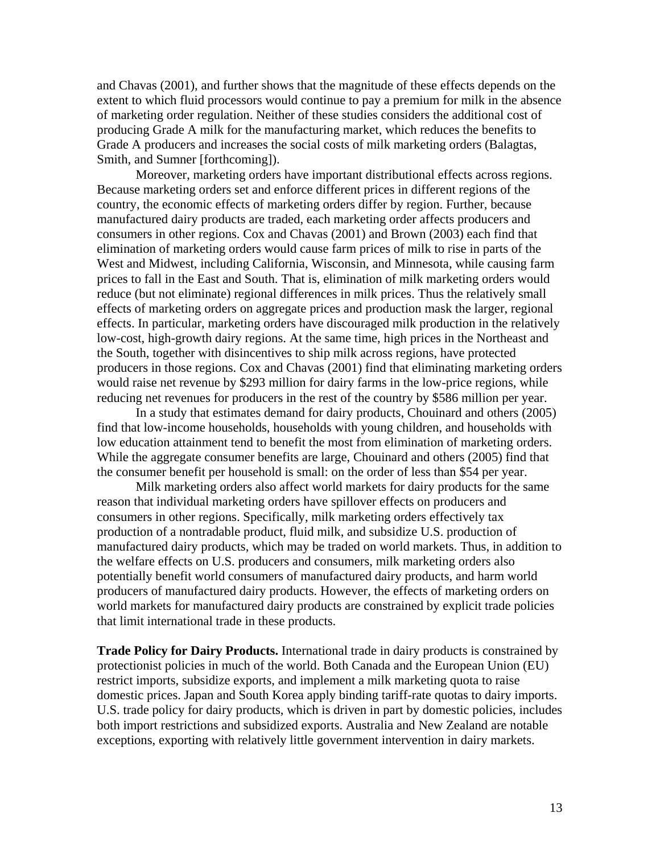and Chavas (2001), and further shows that the magnitude of these effects depends on the extent to which fluid processors would continue to pay a premium for milk in the absence of marketing order regulation. Neither of these studies considers the additional cost of producing Grade A milk for the manufacturing market, which reduces the benefits to Grade A producers and increases the social costs of milk marketing orders (Balagtas, Smith, and Sumner [forthcoming]).

Moreover, marketing orders have important distributional effects across regions. Because marketing orders set and enforce different prices in different regions of the country, the economic effects of marketing orders differ by region. Further, because manufactured dairy products are traded, each marketing order affects producers and consumers in other regions. Cox and Chavas (2001) and Brown (2003) each find that elimination of marketing orders would cause farm prices of milk to rise in parts of the West and Midwest, including California, Wisconsin, and Minnesota, while causing farm prices to fall in the East and South. That is, elimination of milk marketing orders would reduce (but not eliminate) regional differences in milk prices. Thus the relatively small effects of marketing orders on aggregate prices and production mask the larger, regional effects. In particular, marketing orders have discouraged milk production in the relatively low-cost, high-growth dairy regions. At the same time, high prices in the Northeast and the South, together with disincentives to ship milk across regions, have protected producers in those regions. Cox and Chavas (2001) find that eliminating marketing orders would raise net revenue by \$293 million for dairy farms in the low-price regions, while reducing net revenues for producers in the rest of the country by \$586 million per year.

In a study that estimates demand for dairy products, Chouinard and others (2005) find that low-income households, households with young children, and households with low education attainment tend to benefit the most from elimination of marketing orders. While the aggregate consumer benefits are large, Chouinard and others (2005) find that the consumer benefit per household is small: on the order of less than \$54 per year.

Milk marketing orders also affect world markets for dairy products for the same reason that individual marketing orders have spillover effects on producers and consumers in other regions. Specifically, milk marketing orders effectively tax production of a nontradable product, fluid milk, and subsidize U.S. production of manufactured dairy products, which may be traded on world markets. Thus, in addition to the welfare effects on U.S. producers and consumers, milk marketing orders also potentially benefit world consumers of manufactured dairy products, and harm world producers of manufactured dairy products. However, the effects of marketing orders on world markets for manufactured dairy products are constrained by explicit trade policies that limit international trade in these products.

**Trade Policy for Dairy Products.** International trade in dairy products is constrained by protectionist policies in much of the world. Both Canada and the European Union (EU) restrict imports, subsidize exports, and implement a milk marketing quota to raise domestic prices. Japan and South Korea apply binding tariff-rate quotas to dairy imports. U.S. trade policy for dairy products, which is driven in part by domestic policies, includes both import restrictions and subsidized exports. Australia and New Zealand are notable exceptions, exporting with relatively little government intervention in dairy markets.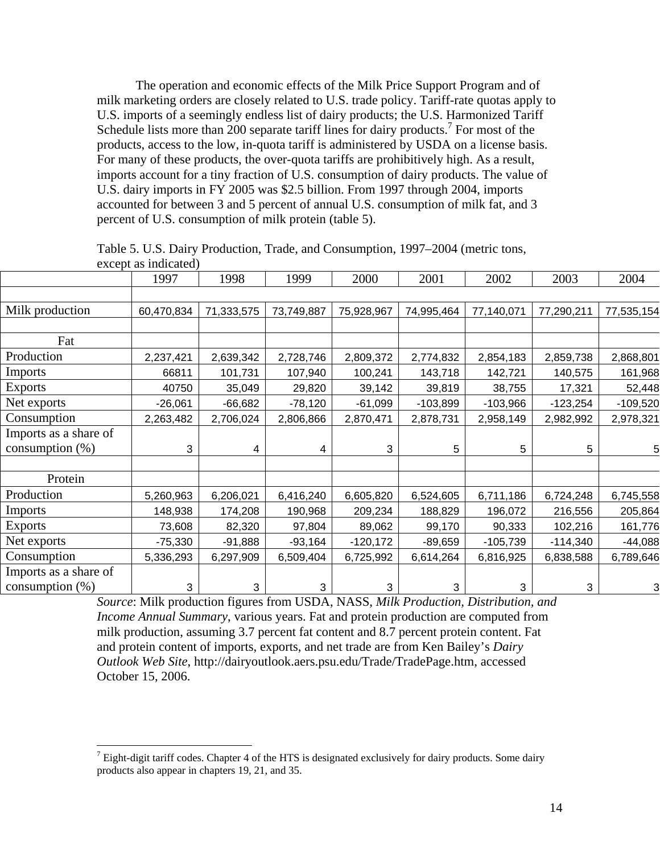The operation and economic effects of the Milk Price Support Program and of milk marketing orders are closely related to U.S. trade policy. Tariff-rate quotas apply to U.S. imports of a seemingly endless list of dairy products; the U.S. Harmonized Tariff Schedule lists more than  $200$  separate tariff lines for dairy products.<sup>[7](#page-14-0)</sup> For most of the products, access to the low, in-quota tariff is administered by USDA on a license basis. For many of these products, the over-quota tariffs are prohibitively high. As a result, imports account for a tiny fraction of U.S. consumption of dairy products. The value of U.S. dairy imports in FY 2005 was \$2.5 billion. From 1997 through 2004, imports accounted for between 3 and 5 percent of annual U.S. consumption of milk fat, and 3 percent of U.S. consumption of milk protein (table 5).

Table 5. U.S. Dairy Production, Trade, and Consumption, 1997–2004 (metric tons, except as indicated)

|                       | 1997       | 1998       | 1999       | 2000       | 2001       | 2002       | 2003       | 2004       |
|-----------------------|------------|------------|------------|------------|------------|------------|------------|------------|
|                       |            |            |            |            |            |            |            |            |
| Milk production       | 60,470,834 | 71,333,575 | 73,749,887 | 75,928,967 | 74,995,464 | 77,140,071 | 77,290,211 | 77,535,154 |
|                       |            |            |            |            |            |            |            |            |
| Fat                   |            |            |            |            |            |            |            |            |
| Production            | 2,237,421  | 2,639,342  | 2,728,746  | 2,809,372  | 2,774,832  | 2,854,183  | 2,859,738  | 2,868,801  |
| Imports               | 66811      | 101,731    | 107,940    | 100,241    | 143,718    | 142,721    | 140,575    | 161,968    |
| <b>Exports</b>        | 40750      | 35,049     | 29,820     | 39,142     | 39,819     | 38,755     | 17,321     | 52,448     |
| Net exports           | $-26,061$  | $-66,682$  | $-78,120$  | $-61,099$  | $-103,899$ | $-103,966$ | $-123,254$ | $-109,520$ |
| Consumption           | 2,263,482  | 2,706,024  | 2,806,866  | 2,870,471  | 2,878,731  | 2,958,149  | 2,982,992  | 2,978,321  |
| Imports as a share of |            |            |            |            |            |            |            |            |
| consumption $(\%)$    | 3          | 4          | 4          | 3          | 5          | 5          | 5          | 5          |
|                       |            |            |            |            |            |            |            |            |
| Protein               |            |            |            |            |            |            |            |            |
| Production            | 5,260,963  | 6,206,021  | 6,416,240  | 6,605,820  | 6,524,605  | 6,711,186  | 6,724,248  | 6,745,558  |
| Imports               | 148,938    | 174,208    | 190,968    | 209,234    | 188,829    | 196,072    | 216,556    | 205,864    |
| <b>Exports</b>        | 73,608     | 82,320     | 97,804     | 89,062     | 99,170     | 90,333     | 102,216    | 161,776    |
| Net exports           | $-75,330$  | $-91,888$  | $-93,164$  | $-120,172$ | $-89,659$  | $-105,739$ | $-114,340$ | $-44,088$  |
| Consumption           | 5,336,293  | 6,297,909  | 6,509,404  | 6,725,992  | 6,614,264  | 6,816,925  | 6,838,588  | 6,789,646  |
| Imports as a share of |            |            |            |            |            |            |            |            |
| consumption $(\%)$    | 3          | 3          | 3          | 3          | 3          | 3          | 3          | 3          |

*Source*: Milk production figures from USDA, NASS, *Milk Production, Distribution, and Income Annual Summary*, various years. Fat and protein production are computed from milk production, assuming 3.7 percent fat content and 8.7 percent protein content. Fat and protein content of imports, exports, and net trade are from Ken Bailey's *Dairy Outlook Web Site*, http://dairyoutlook.aers.psu.edu/Trade/TradePage.htm, accessed October 15, 2006.

<span id="page-14-0"></span> $<sup>7</sup>$  Eight-digit tariff codes. Chapter 4 of the HTS is designated exclusively for dairy products. Some dairy</sup> products also appear in chapters 19, 21, and 35.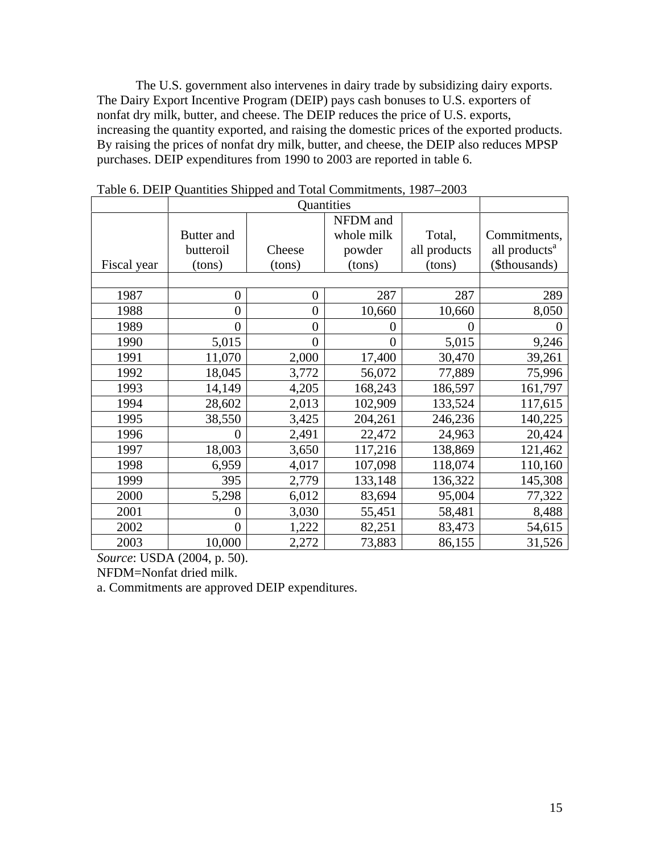The U.S. government also intervenes in dairy trade by subsidizing dairy exports. The Dairy Export Incentive Program (DEIP) pays cash bonuses to U.S. exporters of nonfat dry milk, butter, and cheese. The DEIP reduces the price of U.S. exports, increasing the quantity exported, and raising the domestic prices of the exported products. By raising the prices of nonfat dry milk, butter, and cheese, the DEIP also reduces MPSP purchases. DEIP expenditures from 1990 to 2003 are reported in table 6.

|             |                |                | NFDM and       |              |                           |
|-------------|----------------|----------------|----------------|--------------|---------------------------|
|             | Butter and     |                | whole milk     | Total,       | Commitments,              |
|             | butteroil      | Cheese         | powder         | all products | all products <sup>a</sup> |
| Fiscal year | (tons)         | (tons)         | (tons)         | (tons)       | (\$thousands)             |
|             |                |                |                |              |                           |
| 1987        | $\overline{0}$ | $\overline{0}$ | 287            | 287          | 289                       |
| 1988        | $\overline{0}$ | $\overline{0}$ | 10,660         | 10,660       | 8,050                     |
| 1989        | $\theta$       | $\overline{0}$ | 0              | 0            | 0                         |
| 1990        | 5,015          | 0              | $\overline{0}$ | 5,015        | 9,246                     |
| 1991        | 11,070         | 2,000          | 17,400         | 30,470       | 39,261                    |
| 1992        | 18,045         | 3,772          | 56,072         | 77,889       | 75,996                    |
| 1993        | 14,149         | 4,205          | 168,243        | 186,597      | 161,797                   |
| 1994        | 28,602         | 2,013          | 102,909        | 133,524      | 117,615                   |
| 1995        | 38,550         | 3,425          | 204,261        | 246,236      | 140,225                   |
| 1996        | $\overline{0}$ | 2,491          | 22,472         | 24,963       | 20,424                    |
| 1997        | 18,003         | 3,650          | 117,216        | 138,869      | 121,462                   |
| 1998        | 6,959          | 4,017          | 107,098        | 118,074      | 110,160                   |
| 1999        | 395            | 2,779          | 133,148        | 136,322      | 145,308                   |
| 2000        | 5,298          | 6,012          | 83,694         | 95,004       | 77,322                    |
| 2001        | 0              | 3,030          | 55,451         | 58,481       | 8,488                     |
| 2002        | $\overline{0}$ | 1,222          | 82,251         | 83,473       | 54,615                    |
| 2003        | 10,000         | 2,272          | 73,883         | 86,155       | 31,526                    |

Table 6. DEIP Quantities Shipped and Total Commitments, 1987–2003

*Source*: USDA (2004, p. 50).

NFDM=Nonfat dried milk.

a. Commitments are approved DEIP expenditures.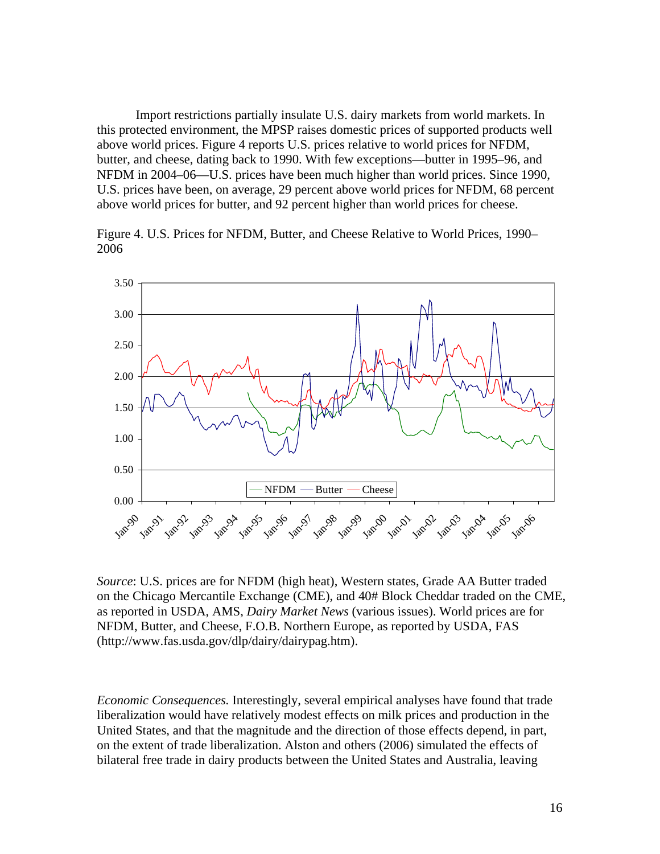Import restrictions partially insulate U.S. dairy markets from world markets. In this protected environment, the MPSP raises domestic prices of supported products well above world prices. Figure 4 reports U.S. prices relative to world prices for NFDM, butter, and cheese, dating back to 1990. With few exceptions—butter in 1995–96, and NFDM in 2004–06—U.S. prices have been much higher than world prices. Since 1990, U.S. prices have been, on average, 29 percent above world prices for NFDM, 68 percent above world prices for butter, and 92 percent higher than world prices for cheese.

Figure 4. U.S. Prices for NFDM, Butter, and Cheese Relative to World Prices, 1990– 2006



*Source*: U.S. prices are for NFDM (high heat), Western states, Grade AA Butter traded on the Chicago Mercantile Exchange (CME), and 40# Block Cheddar traded on the CME, as reported in USDA, AMS, *Dairy Market News* (various issues). World prices are for NFDM, Butter, and Cheese, F.O.B. Northern Europe, as reported by USDA, FAS (http://www.fas.usda.gov/dlp/dairy/dairypag.htm).

*Economic Consequences.* Interestingly, several empirical analyses have found that trade liberalization would have relatively modest effects on milk prices and production in the United States, and that the magnitude and the direction of those effects depend, in part, on the extent of trade liberalization. Alston and others (2006) simulated the effects of bilateral free trade in dairy products between the United States and Australia, leaving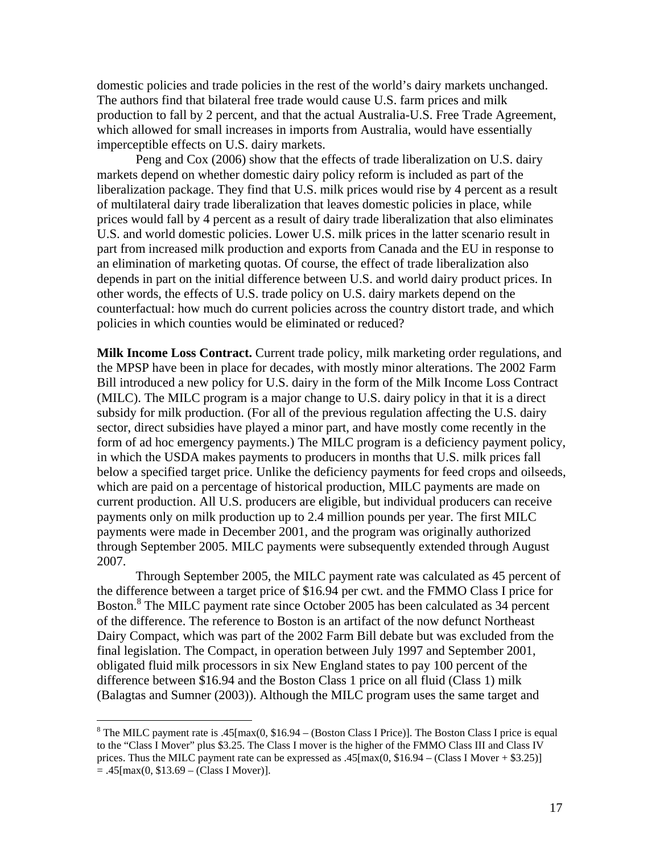domestic policies and trade policies in the rest of the world's dairy markets unchanged. The authors find that bilateral free trade would cause U.S. farm prices and milk production to fall by 2 percent, and that the actual Australia-U.S. Free Trade Agreement, which allowed for small increases in imports from Australia, would have essentially imperceptible effects on U.S. dairy markets.

Peng and Cox (2006) show that the effects of trade liberalization on U.S. dairy markets depend on whether domestic dairy policy reform is included as part of the liberalization package. They find that U.S. milk prices would rise by 4 percent as a result of multilateral dairy trade liberalization that leaves domestic policies in place, while prices would fall by 4 percent as a result of dairy trade liberalization that also eliminates U.S. and world domestic policies. Lower U.S. milk prices in the latter scenario result in part from increased milk production and exports from Canada and the EU in response to an elimination of marketing quotas. Of course, the effect of trade liberalization also depends in part on the initial difference between U.S. and world dairy product prices. In other words, the effects of U.S. trade policy on U.S. dairy markets depend on the counterfactual: how much do current policies across the country distort trade, and which policies in which counties would be eliminated or reduced?

**Milk Income Loss Contract.** Current trade policy, milk marketing order regulations, and the MPSP have been in place for decades, with mostly minor alterations. The 2002 Farm Bill introduced a new policy for U.S. dairy in the form of the Milk Income Loss Contract (MILC). The MILC program is a major change to U.S. dairy policy in that it is a direct subsidy for milk production. (For all of the previous regulation affecting the U.S. dairy sector, direct subsidies have played a minor part, and have mostly come recently in the form of ad hoc emergency payments.) The MILC program is a deficiency payment policy, in which the USDA makes payments to producers in months that U.S. milk prices fall below a specified target price. Unlike the deficiency payments for feed crops and oilseeds, which are paid on a percentage of historical production, MILC payments are made on current production. All U.S. producers are eligible, but individual producers can receive payments only on milk production up to 2.4 million pounds per year. The first MILC payments were made in December 2001, and the program was originally authorized through September 2005. MILC payments were subsequently extended through August 2007.

Through September 2005, the MILC payment rate was calculated as 45 percent of the difference between a target price of \$16.94 per cwt. and the FMMO Class I price for Boston.<sup>[8](#page-17-0)</sup> The MILC payment rate since October 2005 has been calculated as 34 percent of the difference. The reference to Boston is an artifact of the now defunct Northeast Dairy Compact, which was part of the 2002 Farm Bill debate but was excluded from the final legislation. The Compact, in operation between July 1997 and September 2001, obligated fluid milk processors in six New England states to pay 100 percent of the difference between \$16.94 and the Boston Class 1 price on all fluid (Class 1) milk (Balagtas and Sumner (2003)). Although the MILC program uses the same target and

<span id="page-17-0"></span><sup>&</sup>lt;sup>8</sup> The MILC payment rate is .45[max(0, \$16.94 – (Boston Class I Price)]. The Boston Class I price is equal to the "Class I Mover" plus \$3.25. The Class I mover is the higher of the FMMO Class III and Class IV prices. Thus the MILC payment rate can be expressed as .45[max(0, \$16.94 – (Class I Mover + \$3.25)]  $= .45$ [max(0, \$13.69 – (Class I Mover)].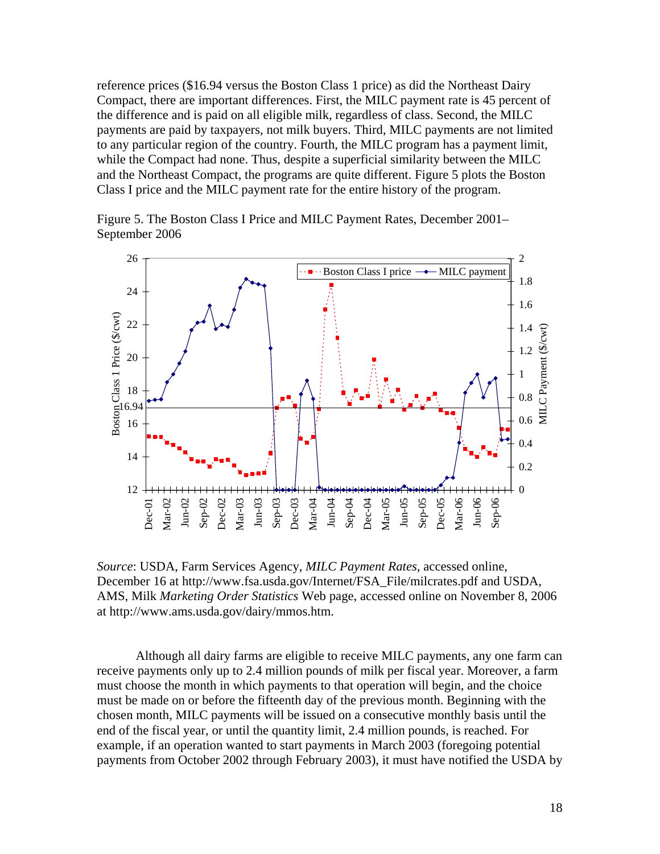reference prices (\$16.94 versus the Boston Class 1 price) as did the Northeast Dairy Compact, there are important differences. First, the MILC payment rate is 45 percent of the difference and is paid on all eligible milk, regardless of class. Second, the MILC payments are paid by taxpayers, not milk buyers. Third, MILC payments are not limited to any particular region of the country. Fourth, the MILC program has a payment limit, while the Compact had none. Thus, despite a superficial similarity between the MILC and the Northeast Compact, the programs are quite different. Figure 5 plots the Boston Class I price and the MILC payment rate for the entire history of the program.

Figure 5. The Boston Class I Price and MILC Payment Rates, December 2001– September 2006



*Source*: USDA, Farm Services Agency, *MILC Payment Rates*, accessed online, December 16 at http://www.fsa.usda.gov/Internet/FSA\_File/milcrates.pdf and USDA, AMS, Milk *Marketing Order Statistics* Web page, accessed online on November 8, 2006 at http://www.ams.usda.gov/dairy/mmos.htm.

Although all dairy farms are eligible to receive MILC payments, any one farm can receive payments only up to 2.4 million pounds of milk per fiscal year. Moreover, a farm must choose the month in which payments to that operation will begin, and the choice must be made on or before the fifteenth day of the previous month. Beginning with the chosen month, MILC payments will be issued on a consecutive monthly basis until the end of the fiscal year, or until the quantity limit, 2.4 million pounds, is reached. For example, if an operation wanted to start payments in March 2003 (foregoing potential payments from October 2002 through February 2003), it must have notified the USDA by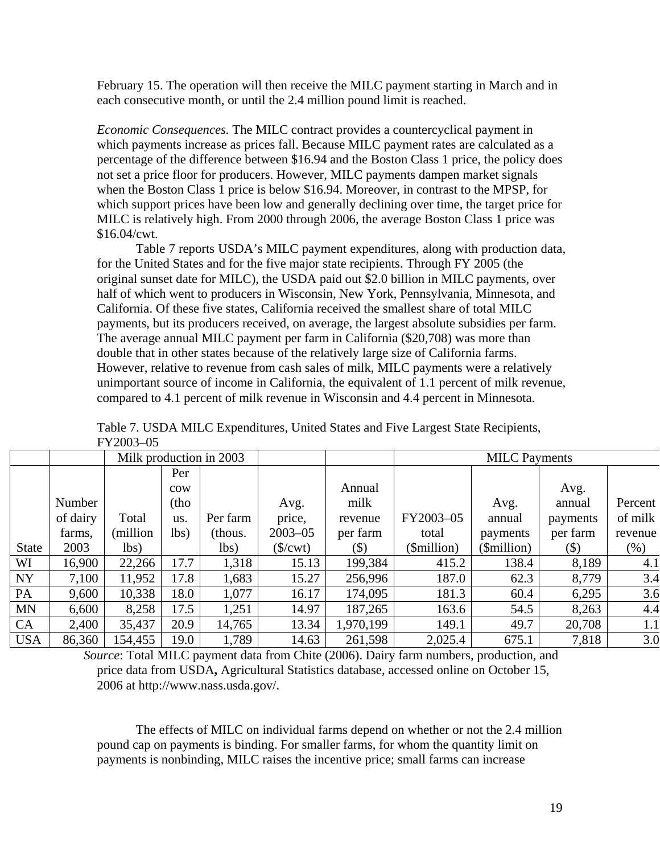February 15. The operation will then receive the MILC payment starting in March and in each consecutive month, or until the 2.4 million pound limit is reached.

*Economic Consequences.* The MILC contract provides a countercyclical payment in which payments increase as prices fall. Because MILC payment rates are calculated as a percentage of the difference between \$16.94 and the Boston Class 1 price, the policy does not set a price floor for producers. However, MILC payments dampen market signals when the Boston Class 1 price is below \$16.94. Moreover, in contrast to the MPSP, for which support prices have been low and generally declining over time, the target price for MILC is relatively high. From 2000 through 2006, the average Boston Class 1 price was \$16.04/cwt.

Table 7 reports USDA's MILC payment expenditures, along with production data, for the United States and for the five major state recipients. Through FY 2005 (the original sunset date for MILC), the USDA paid out \$2.0 billion in MILC payments, over half of which went to producers in Wisconsin, New York, Pennsylvania, Minnesota, and California. Of these five states, California received the smallest share of total MILC payments, but its producers received, on average, the largest absolute subsidies per farm. The average annual MILC payment per farm in California (\$20,708) was more than double that in other states because of the relatively large size of California farms. However, relative to revenue from cash sales of milk, MILC payments were a relatively unimportant source of income in California, the equivalent of 1.1 percent of milk revenue, compared to 4.1 percent of milk revenue in Wisconsin and 4.4 percent in Minnesota.

|              |          |          |                 | Milk production in 2003 |                               |           | <b>MILC</b> Payments |             |                     |         |
|--------------|----------|----------|-----------------|-------------------------|-------------------------------|-----------|----------------------|-------------|---------------------|---------|
|              |          |          | Per             |                         |                               |           |                      |             |                     |         |
|              |          |          | $_{\text{row}}$ |                         |                               | Annual    |                      |             | Avg.                |         |
|              | Number   |          | (tho            |                         | Avg.                          | milk      |                      | Avg.        | annual              | Percent |
|              | of dairy | Total    | us.             | Per farm                | price,                        | revenue   | FY2003-05            | annual      | payments            | of milk |
|              | farms,   | (million | lbs)            | (thous.                 | $2003 - 05$                   | per farm  | total                | payments    | per farm            | revenue |
| <b>State</b> | 2003     | lbs)     |                 | lbs)                    | $(\frac{\sqrt{3}}{\sqrt{3}})$ | $($ \$)   | (\$million)          | (\$million) | $(\boldsymbol{\$})$ | (% )    |
| WI           | 16,900   | 22,266   | 17.7            | 1,318                   | 15.13                         | 199,384   | 415.2                | 138.4       | 8,189               | 4.1     |
| NY           | 7,100    | 11,952   | 17.8            | 1,683                   | 15.27                         | 256,996   | 187.0                | 62.3        | 8,779               | 3.4     |
| PA           | 9,600    | 10,338   | 18.0            | 1,077                   | 16.17                         | 174,095   | 181.3                | 60.4        | 6,295               | 3.6     |
| MN           | 6,600    | 8,258    | 17.5            | 1,251                   | 14.97                         | 187,265   | 163.6                | 54.5        | 8,263               | 4.4     |
| CA           | 2,400    | 35,437   | 20.9            | 14,765                  | 13.34                         | 1,970,199 | 149.1                | 49.7        | 20,708              | 1.1     |
| <b>USA</b>   | 86,360   | 154,455  | 19.0            | 1,789                   | 14.63                         | 261,598   | 2,025.4              | 675.1       | 7,818               | 3.0     |

Table 7. USDA MILC Expenditures, United States and Five Largest State Recipients, FY2003–05

*Source*: Total MILC payment data from Chite (2006). Dairy farm numbers, production, and price data from USDA**,** Agricultural Statistics database, accessed online on October 15, 2006 at http://www.nass.usda.gov/.

The effects of MILC on individual farms depend on whether or not the 2.4 million pound cap on payments is binding. For smaller farms, for whom the quantity limit on payments is nonbinding, MILC raises the incentive price; small farms can increase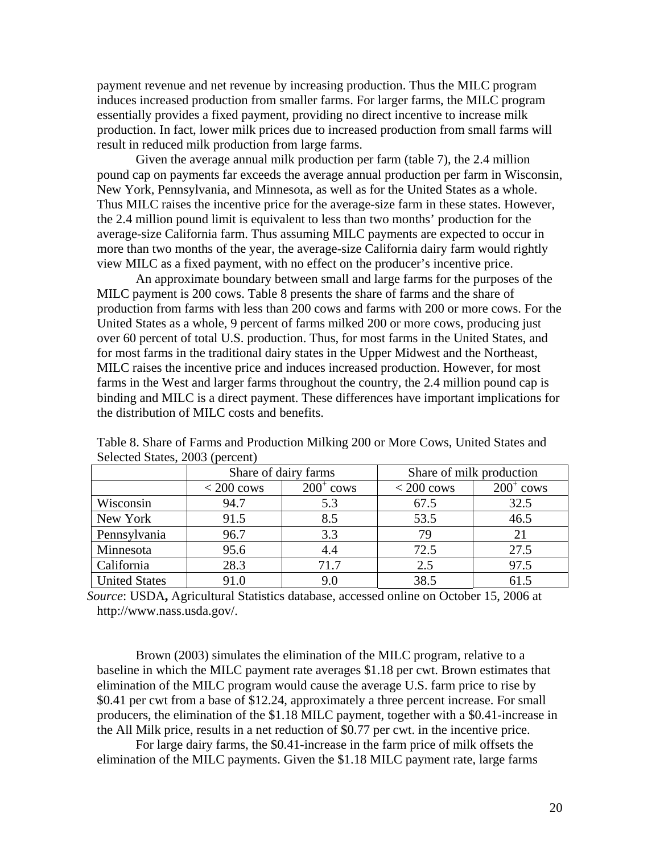payment revenue and net revenue by increasing production. Thus the MILC program induces increased production from smaller farms. For larger farms, the MILC program essentially provides a fixed payment, providing no direct incentive to increase milk production. In fact, lower milk prices due to increased production from small farms will result in reduced milk production from large farms.

Given the average annual milk production per farm (table 7), the 2.4 million pound cap on payments far exceeds the average annual production per farm in Wisconsin, New York, Pennsylvania, and Minnesota, as well as for the United States as a whole. Thus MILC raises the incentive price for the average-size farm in these states. However, the 2.4 million pound limit is equivalent to less than two months' production for the average-size California farm. Thus assuming MILC payments are expected to occur in more than two months of the year, the average-size California dairy farm would rightly view MILC as a fixed payment, with no effect on the producer's incentive price.

An approximate boundary between small and large farms for the purposes of the MILC payment is 200 cows. Table 8 presents the share of farms and the share of production from farms with less than 200 cows and farms with 200 or more cows. For the United States as a whole, 9 percent of farms milked 200 or more cows, producing just over 60 percent of total U.S. production. Thus, for most farms in the United States, and for most farms in the traditional dairy states in the Upper Midwest and the Northeast, MILC raises the incentive price and induces increased production. However, for most farms in the West and larger farms throughout the country, the 2.4 million pound cap is binding and MILC is a direct payment. These differences have important implications for the distribution of MILC costs and benefits.

|                      | Share of dairy farms |              | Share of milk production |                    |  |
|----------------------|----------------------|--------------|--------------------------|--------------------|--|
|                      | $< 200 \text{ cows}$ | $200^+$ cows | $<$ 200 cows             | $200^{\circ}$ cows |  |
| Wisconsin            | 94.7                 | 5.3          | 67.5                     | 32.5               |  |
| New York             | 91.5                 | 8.5          | 53.5                     | 46.5               |  |
| Pennsylvania         | 96.7                 | 3.3          | 79                       | 21                 |  |
| Minnesota            | 95.6                 |              | 72.5                     | 27.5               |  |
| California           | 28.3                 | 71.7         | 2.5                      | 97.5               |  |
| <b>United States</b> | 91.0                 | 9.0          | 38.5                     | 61.5               |  |

Table 8. Share of Farms and Production Milking 200 or More Cows, United States and Selected States, 2003 (percent)

*Source*: USDA**,** Agricultural Statistics database, accessed online on October 15, 2006 at http://www.nass.usda.gov/.

Brown (2003) simulates the elimination of the MILC program, relative to a baseline in which the MILC payment rate averages \$1.18 per cwt. Brown estimates that elimination of the MILC program would cause the average U.S. farm price to rise by \$0.41 per cwt from a base of \$12.24, approximately a three percent increase. For small producers, the elimination of the \$1.18 MILC payment, together with a \$0.41-increase in the All Milk price, results in a net reduction of \$0.77 per cwt. in the incentive price.

For large dairy farms, the \$0.41-increase in the farm price of milk offsets the elimination of the MILC payments. Given the \$1.18 MILC payment rate, large farms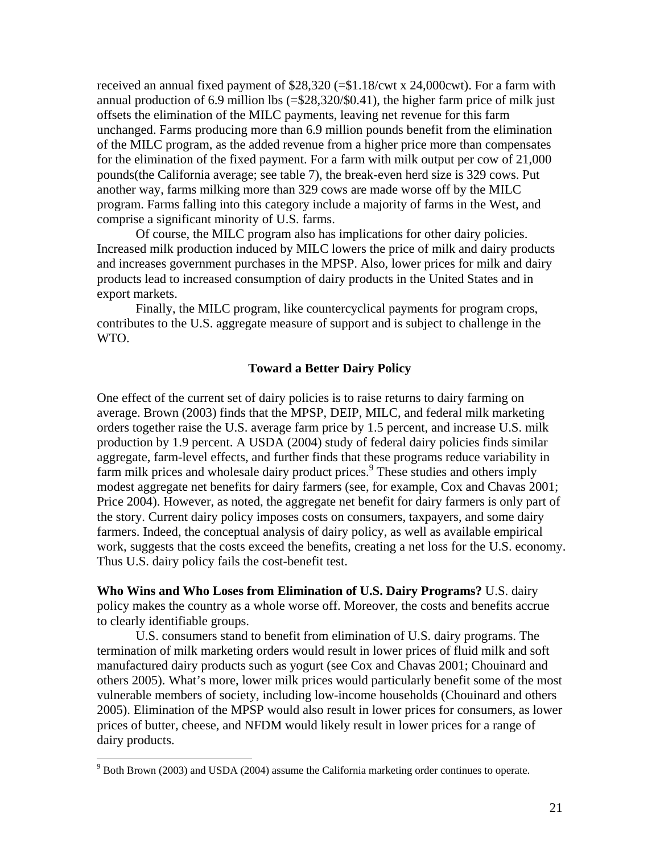received an annual fixed payment of \$28,320 (=\$1.18/cwt x 24,000cwt). For a farm with annual production of 6.9 million lbs (=\$28,320/\$0.41), the higher farm price of milk just offsets the elimination of the MILC payments, leaving net revenue for this farm unchanged. Farms producing more than 6.9 million pounds benefit from the elimination of the MILC program, as the added revenue from a higher price more than compensates for the elimination of the fixed payment. For a farm with milk output per cow of 21,000 pounds(the California average; see table 7), the break-even herd size is 329 cows. Put another way, farms milking more than 329 cows are made worse off by the MILC program. Farms falling into this category include a majority of farms in the West, and comprise a significant minority of U.S. farms.

Of course, the MILC program also has implications for other dairy policies. Increased milk production induced by MILC lowers the price of milk and dairy products and increases government purchases in the MPSP. Also, lower prices for milk and dairy products lead to increased consumption of dairy products in the United States and in export markets.

Finally, the MILC program, like countercyclical payments for program crops, contributes to the U.S. aggregate measure of support and is subject to challenge in the WTO.

## **Toward a Better Dairy Policy**

One effect of the current set of dairy policies is to raise returns to dairy farming on average. Brown (2003) finds that the MPSP, DEIP, MILC, and federal milk marketing orders together raise the U.S. average farm price by 1.5 percent, and increase U.S. milk production by 1.9 percent. A USDA (2004) study of federal dairy policies finds similar aggregate, farm-level effects, and further finds that these programs reduce variability in farm milk prices and wholesale dairy product prices.<sup>[9](#page-21-0)</sup> These studies and others imply modest aggregate net benefits for dairy farmers (see, for example, Cox and Chavas 2001; Price 2004). However, as noted, the aggregate net benefit for dairy farmers is only part of the story. Current dairy policy imposes costs on consumers, taxpayers, and some dairy farmers. Indeed, the conceptual analysis of dairy policy, as well as available empirical work, suggests that the costs exceed the benefits, creating a net loss for the U.S. economy. Thus U.S. dairy policy fails the cost-benefit test.

**Who Wins and Who Loses from Elimination of U.S. Dairy Programs?** U.S. dairy policy makes the country as a whole worse off. Moreover, the costs and benefits accrue to clearly identifiable groups.

U.S. consumers stand to benefit from elimination of U.S. dairy programs. The termination of milk marketing orders would result in lower prices of fluid milk and soft manufactured dairy products such as yogurt (see Cox and Chavas 2001; Chouinard and others 2005). What's more, lower milk prices would particularly benefit some of the most vulnerable members of society, including low-income households (Chouinard and others 2005). Elimination of the MPSP would also result in lower prices for consumers, as lower prices of butter, cheese, and NFDM would likely result in lower prices for a range of dairy products.

<span id="page-21-0"></span> $9^9$  Both Brown (2003) and USDA (2004) assume the California marketing order continues to operate.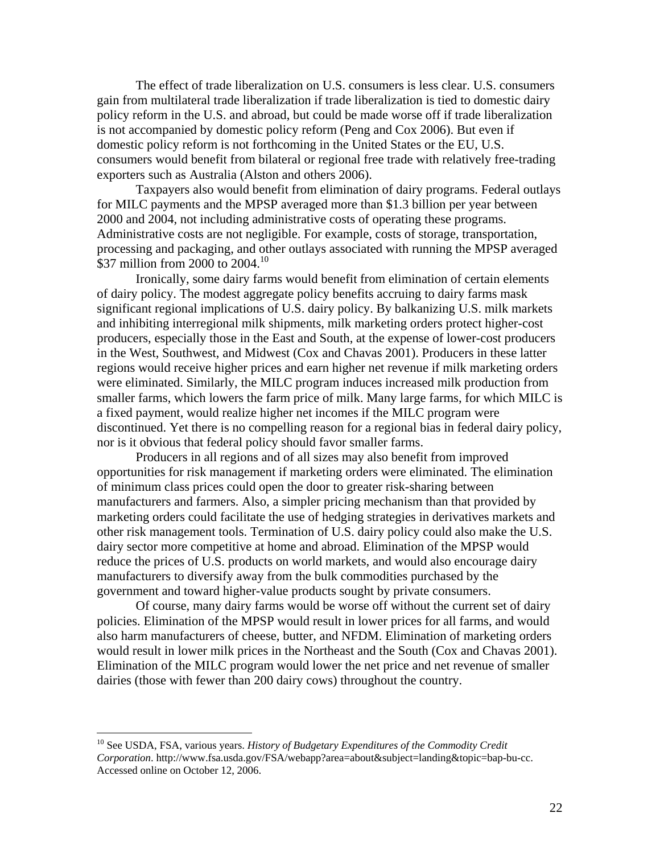The effect of trade liberalization on U.S. consumers is less clear. U.S. consumers gain from multilateral trade liberalization if trade liberalization is tied to domestic dairy policy reform in the U.S. and abroad, but could be made worse off if trade liberalization is not accompanied by domestic policy reform (Peng and Cox 2006). But even if domestic policy reform is not forthcoming in the United States or the EU, U.S. consumers would benefit from bilateral or regional free trade with relatively free-trading exporters such as Australia (Alston and others 2006).

Taxpayers also would benefit from elimination of dairy programs. Federal outlays for MILC payments and the MPSP averaged more than \$1.3 billion per year between 2000 and 2004, not including administrative costs of operating these programs. Administrative costs are not negligible. For example, costs of storage, transportation, processing and packaging, and other outlays associated with running the MPSP averaged \$37 million from 2000 to  $2004$ .<sup>10</sup>

Ironically, some dairy farms would benefit from elimination of certain elements of dairy policy. The modest aggregate policy benefits accruing to dairy farms mask significant regional implications of U.S. dairy policy. By balkanizing U.S. milk markets and inhibiting interregional milk shipments, milk marketing orders protect higher-cost producers, especially those in the East and South, at the expense of lower-cost producers in the West, Southwest, and Midwest (Cox and Chavas 2001). Producers in these latter regions would receive higher prices and earn higher net revenue if milk marketing orders were eliminated. Similarly, the MILC program induces increased milk production from smaller farms, which lowers the farm price of milk. Many large farms, for which MILC is a fixed payment, would realize higher net incomes if the MILC program were discontinued. Yet there is no compelling reason for a regional bias in federal dairy policy, nor is it obvious that federal policy should favor smaller farms.

Producers in all regions and of all sizes may also benefit from improved opportunities for risk management if marketing orders were eliminated. The elimination of minimum class prices could open the door to greater risk-sharing between manufacturers and farmers. Also, a simpler pricing mechanism than that provided by marketing orders could facilitate the use of hedging strategies in derivatives markets and other risk management tools. Termination of U.S. dairy policy could also make the U.S. dairy sector more competitive at home and abroad. Elimination of the MPSP would reduce the prices of U.S. products on world markets, and would also encourage dairy manufacturers to diversify away from the bulk commodities purchased by the government and toward higher-value products sought by private consumers.

Of course, many dairy farms would be worse off without the current set of dairy policies. Elimination of the MPSP would result in lower prices for all farms, and would also harm manufacturers of cheese, butter, and NFDM. Elimination of marketing orders would result in lower milk prices in the Northeast and the South (Cox and Chavas 2001). Elimination of the MILC program would lower the net price and net revenue of smaller dairies (those with fewer than 200 dairy cows) throughout the country.

<span id="page-22-0"></span><sup>10</sup> See USDA, FSA, various years. *History of Budgetary Expenditures of the Commodity Credit Corporation*. http://www.fsa.usda.gov/FSA/webapp?area=about&subject=landing&topic=bap-bu-cc. Accessed online on October 12, 2006.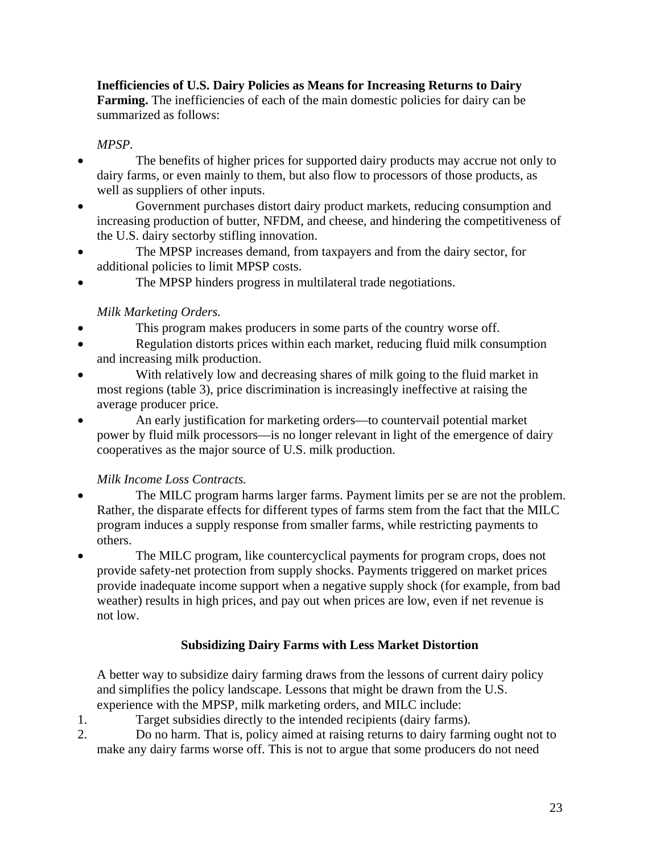## **Inefficiencies of U.S. Dairy Policies as Means for Increasing Returns to Dairy Farming.** The inefficiencies of each of the main domestic policies for dairy can be summarized as follows:

## *MPSP.*

- The benefits of higher prices for supported dairy products may accrue not only to dairy farms, or even mainly to them, but also flow to processors of those products, as well as suppliers of other inputs.
- Government purchases distort dairy product markets, reducing consumption and increasing production of butter, NFDM, and cheese, and hindering the competitiveness of the U.S. dairy sectorby stifling innovation.
- The MPSP increases demand, from taxpayers and from the dairy sector, for additional policies to limit MPSP costs.
- The MPSP hinders progress in multilateral trade negotiations.

# *Milk Marketing Orders.*

- This program makes producers in some parts of the country worse off.
- Regulation distorts prices within each market, reducing fluid milk consumption and increasing milk production.
- With relatively low and decreasing shares of milk going to the fluid market in most regions (table 3), price discrimination is increasingly ineffective at raising the average producer price.
- An early justification for marketing orders—to countervail potential market power by fluid milk processors—is no longer relevant in light of the emergence of dairy cooperatives as the major source of U.S. milk production.

# *Milk Income Loss Contracts.*

- The MILC program harms larger farms. Payment limits per se are not the problem. Rather, the disparate effects for different types of farms stem from the fact that the MILC program induces a supply response from smaller farms, while restricting payments to others.
- The MILC program, like countercyclical payments for program crops, does not provide safety-net protection from supply shocks. Payments triggered on market prices provide inadequate income support when a negative supply shock (for example, from bad weather) results in high prices, and pay out when prices are low, even if net revenue is not low.

# **Subsidizing Dairy Farms with Less Market Distortion**

A better way to subsidize dairy farming draws from the lessons of current dairy policy and simplifies the policy landscape. Lessons that might be drawn from the U.S. experience with the MPSP, milk marketing orders, and MILC include:

- 1. Target subsidies directly to the intended recipients (dairy farms).
- 2. Do no harm. That is, policy aimed at raising returns to dairy farming ought not to make any dairy farms worse off. This is not to argue that some producers do not need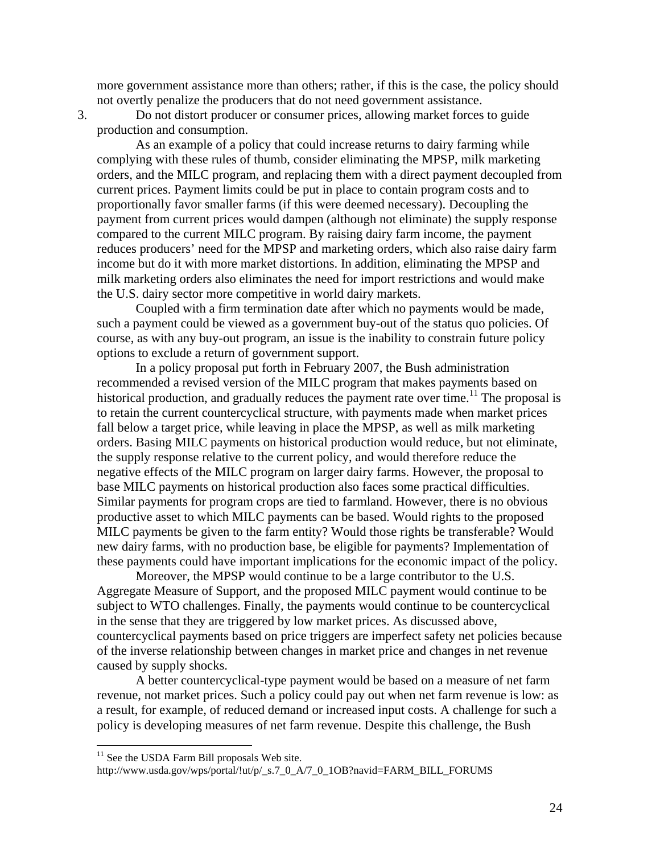more government assistance more than others; rather, if this is the case, the policy should not overtly penalize the producers that do not need government assistance.

3. Do not distort producer or consumer prices, allowing market forces to guide production and consumption.

As an example of a policy that could increase returns to dairy farming while complying with these rules of thumb, consider eliminating the MPSP, milk marketing orders, and the MILC program, and replacing them with a direct payment decoupled from current prices. Payment limits could be put in place to contain program costs and to proportionally favor smaller farms (if this were deemed necessary). Decoupling the payment from current prices would dampen (although not eliminate) the supply response compared to the current MILC program. By raising dairy farm income, the payment reduces producers' need for the MPSP and marketing orders, which also raise dairy farm income but do it with more market distortions. In addition, eliminating the MPSP and milk marketing orders also eliminates the need for import restrictions and would make the U.S. dairy sector more competitive in world dairy markets.

Coupled with a firm termination date after which no payments would be made, such a payment could be viewed as a government buy-out of the status quo policies. Of course, as with any buy-out program, an issue is the inability to constrain future policy options to exclude a return of government support.

In a policy proposal put forth in February 2007, the Bush administration recommended a revised version of the MILC program that makes payments based on historical production, and gradually reduces the payment rate over time.<sup>11</sup> The proposal is to retain the current countercyclical structure, with payments made when market prices fall below a target price, while leaving in place the MPSP, as well as milk marketing orders. Basing MILC payments on historical production would reduce, but not eliminate, the supply response relative to the current policy, and would therefore reduce the negative effects of the MILC program on larger dairy farms. However, the proposal to base MILC payments on historical production also faces some practical difficulties. Similar payments for program crops are tied to farmland. However, there is no obvious productive asset to which MILC payments can be based. Would rights to the proposed MILC payments be given to the farm entity? Would those rights be transferable? Would new dairy farms, with no production base, be eligible for payments? Implementation of these payments could have important implications for the economic impact of the policy.

Moreover, the MPSP would continue to be a large contributor to the U.S. Aggregate Measure of Support, and the proposed MILC payment would continue to be subject to WTO challenges. Finally, the payments would continue to be countercyclical in the sense that they are triggered by low market prices. As discussed above, countercyclical payments based on price triggers are imperfect safety net policies because of the inverse relationship between changes in market price and changes in net revenue caused by supply shocks.

A better countercyclical-type payment would be based on a measure of net farm revenue, not market prices. Such a policy could pay out when net farm revenue is low: as a result, for example, of reduced demand or increased input costs. A challenge for such a policy is developing measures of net farm revenue. Despite this challenge, the Bush

<span id="page-24-0"></span> $11$  See the USDA Farm Bill proposals Web site.

http://www.usda.gov/wps/portal/!ut/p/\_s.7\_0\_A/7\_0\_1OB?navid=FARM\_BILL\_FORUMS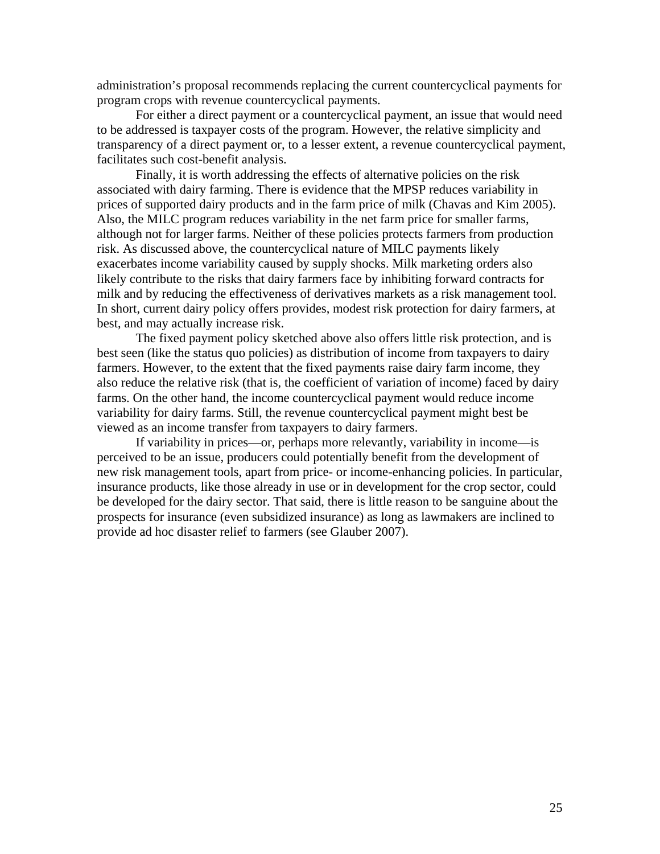administration's proposal recommends replacing the current countercyclical payments for program crops with revenue countercyclical payments.

For either a direct payment or a countercyclical payment, an issue that would need to be addressed is taxpayer costs of the program. However, the relative simplicity and transparency of a direct payment or, to a lesser extent, a revenue countercyclical payment, facilitates such cost-benefit analysis.

Finally, it is worth addressing the effects of alternative policies on the risk associated with dairy farming. There is evidence that the MPSP reduces variability in prices of supported dairy products and in the farm price of milk (Chavas and Kim 2005). Also, the MILC program reduces variability in the net farm price for smaller farms, although not for larger farms. Neither of these policies protects farmers from production risk. As discussed above, the countercyclical nature of MILC payments likely exacerbates income variability caused by supply shocks. Milk marketing orders also likely contribute to the risks that dairy farmers face by inhibiting forward contracts for milk and by reducing the effectiveness of derivatives markets as a risk management tool. In short, current dairy policy offers provides, modest risk protection for dairy farmers, at best, and may actually increase risk.

The fixed payment policy sketched above also offers little risk protection, and is best seen (like the status quo policies) as distribution of income from taxpayers to dairy farmers. However, to the extent that the fixed payments raise dairy farm income, they also reduce the relative risk (that is, the coefficient of variation of income) faced by dairy farms. On the other hand, the income countercyclical payment would reduce income variability for dairy farms. Still, the revenue countercyclical payment might best be viewed as an income transfer from taxpayers to dairy farmers.

If variability in prices—or, perhaps more relevantly, variability in income—is perceived to be an issue, producers could potentially benefit from the development of new risk management tools, apart from price- or income-enhancing policies. In particular, insurance products, like those already in use or in development for the crop sector, could be developed for the dairy sector. That said, there is little reason to be sanguine about the prospects for insurance (even subsidized insurance) as long as lawmakers are inclined to provide ad hoc disaster relief to farmers (see Glauber 2007).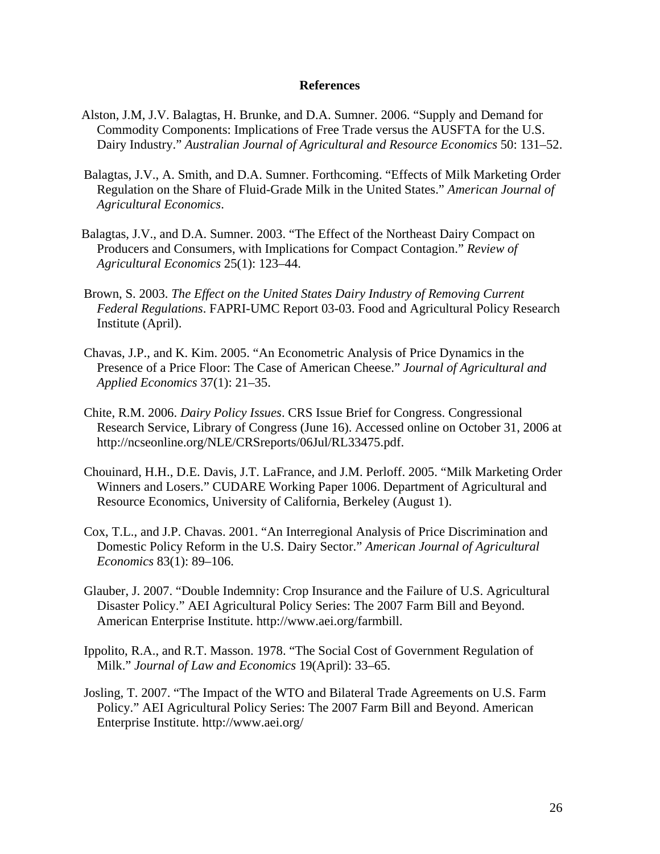#### **References**

- Alston, J.M, J.V. Balagtas, H. Brunke, and D.A. Sumner. 2006. "Supply and Demand for Commodity Components: Implications of Free Trade versus the AUSFTA for the U.S. Dairy Industry." *Australian Journal of Agricultural and Resource Economics* 50: 131–52.
- Balagtas, J.V., A. Smith, and D.A. Sumner. Forthcoming. "Effects of Milk Marketing Order Regulation on the Share of Fluid-Grade Milk in the United States." *American Journal of Agricultural Economics*.
- Balagtas, J.V., and D.A. Sumner. 2003. "The Effect of the Northeast Dairy Compact on Producers and Consumers, with Implications for Compact Contagion." *Review of Agricultural Economics* 25(1): 123–44.
- Brown, S. 2003. *The Effect on the United States Dairy Industry of Removing Current Federal Regulations*. FAPRI-UMC Report 03-03. Food and Agricultural Policy Research Institute (April).
- Chavas, J.P., and K. Kim. 2005. "An Econometric Analysis of Price Dynamics in the Presence of a Price Floor: The Case of American Cheese." *Journal of Agricultural and Applied Economics* 37(1): 21–35.
- Chite, R.M. 2006. *Dairy Policy Issues*. CRS Issue Brief for Congress. Congressional Research Service, Library of Congress (June 16). Accessed online on October 31, 2006 at http://ncseonline.org/NLE/CRSreports/06Jul/RL33475.pdf.
- Chouinard, H.H., D.E. Davis, J.T. LaFrance, and J.M. Perloff. 2005. "Milk Marketing Order Winners and Losers." CUDARE Working Paper 1006. Department of Agricultural and Resource Economics, University of California, Berkeley (August 1).
- Cox, T.L., and J.P. Chavas. 2001. "An Interregional Analysis of Price Discrimination and Domestic Policy Reform in the U.S. Dairy Sector." *American Journal of Agricultural Economics* 83(1): 89–106.
- Glauber, J. 2007. "Double Indemnity: Crop Insurance and the Failure of U.S. Agricultural Disaster Policy." AEI Agricultural Policy Series: The 2007 Farm Bill and Beyond. American Enterprise Institute. http://www.aei.org/farmbill.
- Ippolito, R.A., and R.T. Masson. 1978. "The Social Cost of Government Regulation of Milk." *Journal of Law and Economics* 19(April): 33–65.
- Josling, T. 2007. "The Impact of the WTO and Bilateral Trade Agreements on U.S. Farm Policy." AEI Agricultural Policy Series: The 2007 Farm Bill and Beyond. American Enterprise Institute. http://www.aei.org/